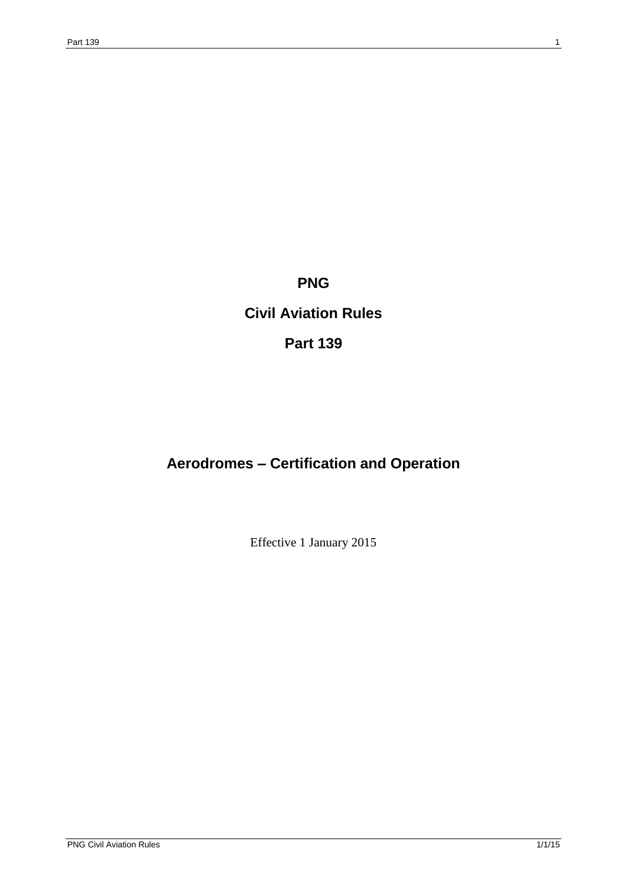# **PNG**

# **Civil Aviation Rules**

**Part 139**

# **Aerodromes – Certification and Operation**

Effective 1 January 2015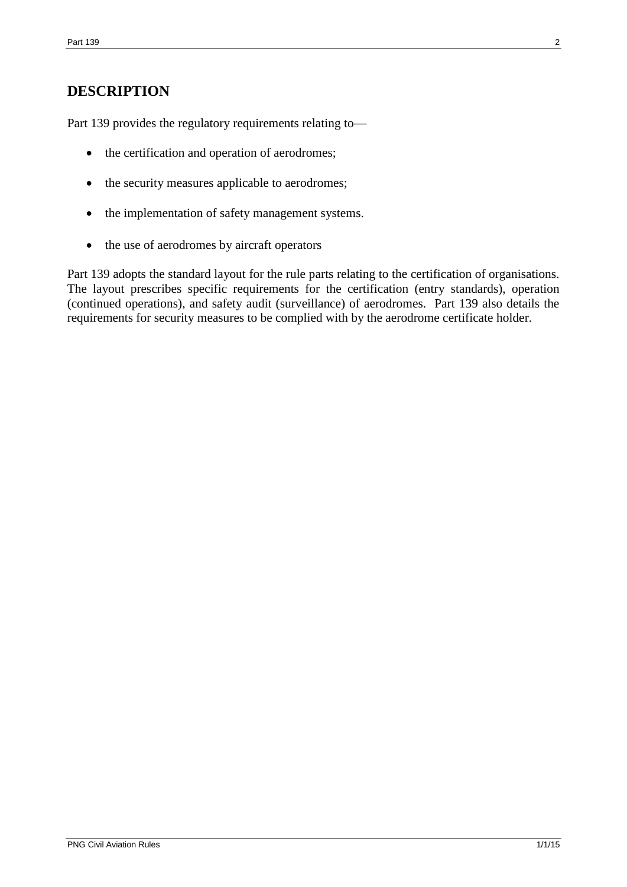# **DESCRIPTION**

Part 139 provides the regulatory requirements relating to—

- the certification and operation of aerodromes;
- the security measures applicable to aerodromes;
- the implementation of safety management systems.
- the use of aerodromes by aircraft operators

Part 139 adopts the standard layout for the rule parts relating to the certification of organisations. The layout prescribes specific requirements for the certification (entry standards), operation (continued operations), and safety audit (surveillance) of aerodromes. Part 139 also details the requirements for security measures to be complied with by the aerodrome certificate holder.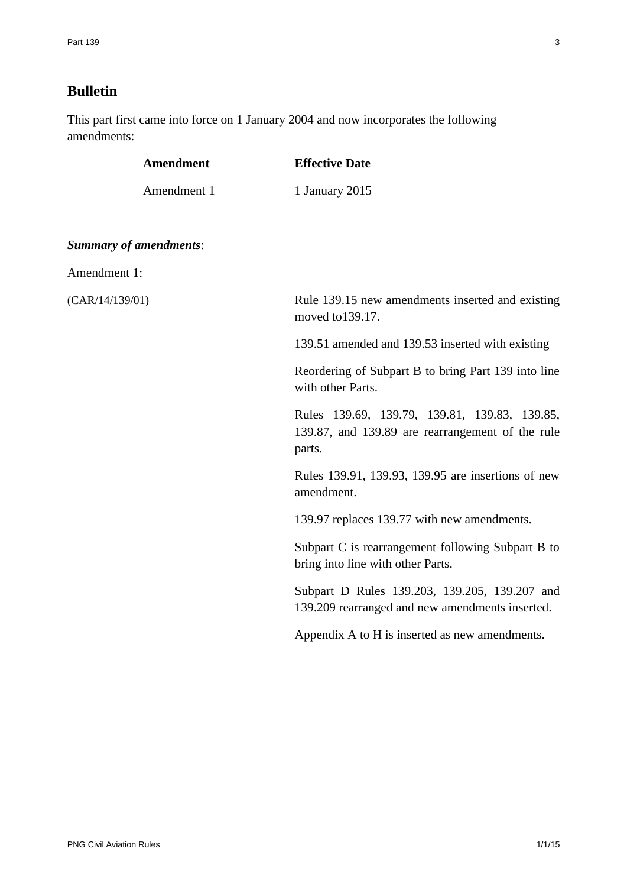# **Bulletin**

This part first came into force on 1 January 2004 and now incorporates the following amendments:

| <b>Amendment</b>              | <b>Effective Date</b>                                                                                       |
|-------------------------------|-------------------------------------------------------------------------------------------------------------|
| Amendment 1                   | 1 January 2015                                                                                              |
| <b>Summary of amendments:</b> |                                                                                                             |
| Amendment 1:                  |                                                                                                             |
| (CAR/14/139/01)               | Rule 139.15 new amendments inserted and existing<br>moved to 139.17.                                        |
|                               | 139.51 amended and 139.53 inserted with existing                                                            |
|                               | Reordering of Subpart B to bring Part 139 into line<br>with other Parts.                                    |
|                               | Rules 139.69, 139.79, 139.81, 139.83, 139.85,<br>139.87, and 139.89 are rearrangement of the rule<br>parts. |
|                               | Rules 139.91, 139.93, 139.95 are insertions of new<br>amendment.                                            |
|                               | 139.97 replaces 139.77 with new amendments.                                                                 |
|                               | Subpart C is rearrangement following Subpart B to<br>bring into line with other Parts.                      |
|                               | Subpart D Rules 139.203, 139.205, 139.207 and<br>139.209 rearranged and new amendments inserted.            |
|                               | Appendix A to H is inserted as new amendments.                                                              |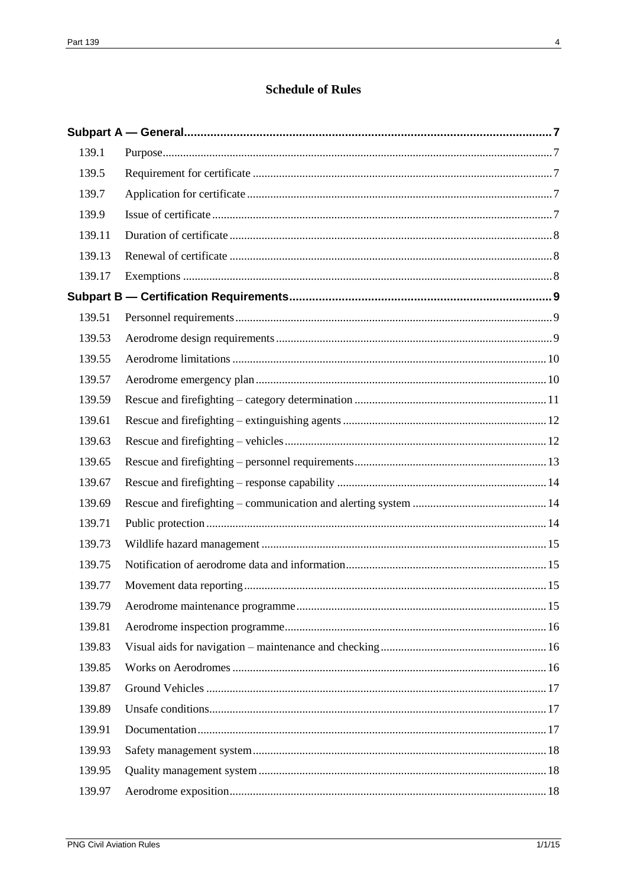# **Schedule of Rules**

| 139.1  |  |
|--------|--|
| 139.5  |  |
| 139.7  |  |
| 139.9  |  |
| 139.11 |  |
| 139.13 |  |
| 139.17 |  |
|        |  |
| 139.51 |  |
| 139.53 |  |
| 139.55 |  |
| 139.57 |  |
| 139.59 |  |
| 139.61 |  |
| 139.63 |  |
| 139.65 |  |
| 139.67 |  |
| 139.69 |  |
| 139.71 |  |
| 139.73 |  |
| 139.75 |  |
| 139.77 |  |
| 139.79 |  |
| 139.81 |  |
| 139.83 |  |
| 139.85 |  |
| 139.87 |  |
| 139.89 |  |
| 139.91 |  |
| 139.93 |  |
| 139.95 |  |
| 139.97 |  |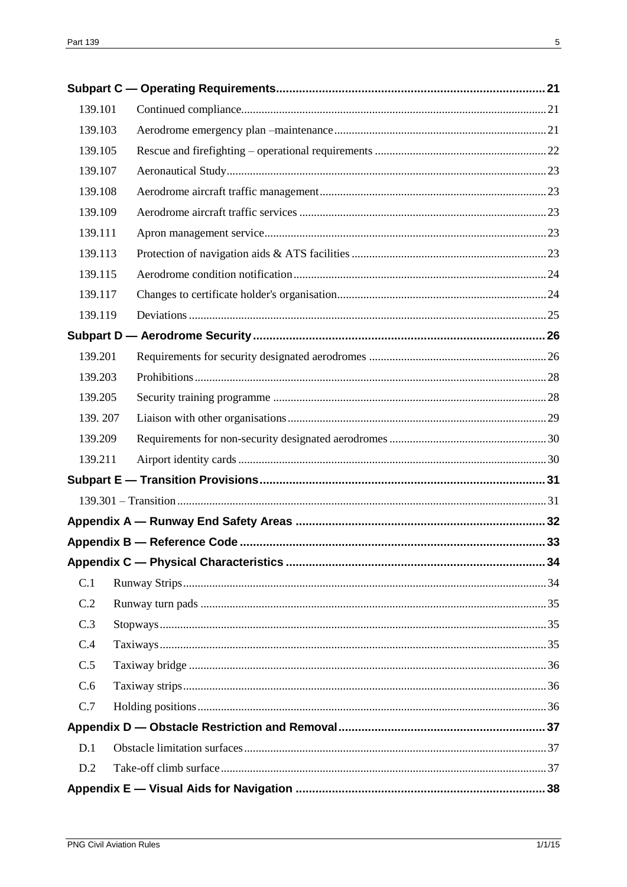| 139.101 |  |
|---------|--|
| 139.103 |  |
| 139.105 |  |
| 139.107 |  |
| 139.108 |  |
| 139.109 |  |
| 139.111 |  |
| 139.113 |  |
| 139.115 |  |
| 139.117 |  |
| 139.119 |  |
|         |  |
| 139.201 |  |
| 139.203 |  |
| 139.205 |  |
| 139.207 |  |
| 139.209 |  |
| 139.211 |  |
|         |  |
|         |  |
|         |  |
|         |  |
|         |  |
| C.1     |  |
| C.2     |  |
| C.3     |  |
| C.4     |  |
| C.5     |  |
| C.6     |  |
| C.7     |  |
|         |  |
| D.1     |  |
| D.2     |  |
|         |  |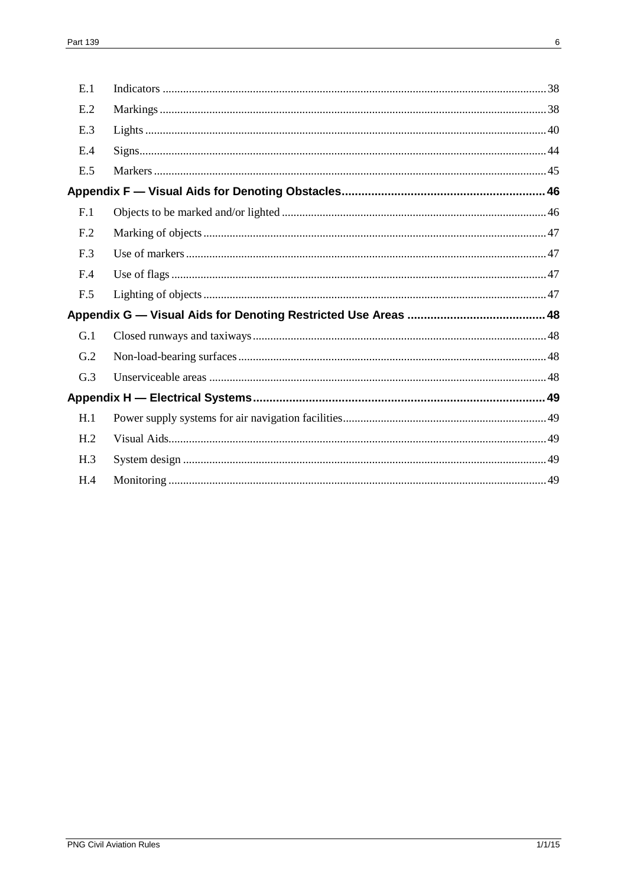| E.1             |  |
|-----------------|--|
| E.2             |  |
| E.3             |  |
| E.4             |  |
| E.5             |  |
|                 |  |
| F.1             |  |
| F <sub>.2</sub> |  |
| F.3             |  |
| F.4             |  |
| F.5             |  |
|                 |  |
| G.1             |  |
| G.2             |  |
| G.3             |  |
|                 |  |
| H.1             |  |
| H <sub>.2</sub> |  |
| H.3             |  |
| H.4             |  |
|                 |  |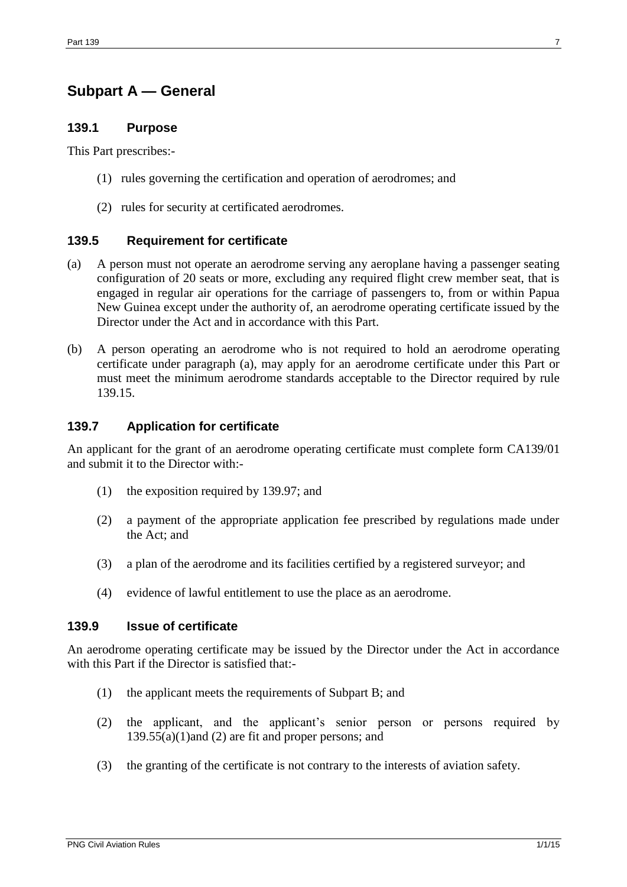# <span id="page-6-1"></span><span id="page-6-0"></span>**Subpart A — General**

### **139.1 Purpose**

This Part prescribes:-

- (1) rules governing the certification and operation of aerodromes; and
- (2) rules for security at certificated aerodromes.

#### <span id="page-6-2"></span>**139.5 Requirement for certificate**

- (a) A person must not operate an aerodrome serving any aeroplane having a passenger seating configuration of 20 seats or more, excluding any required flight crew member seat, that is engaged in regular air operations for the carriage of passengers to, from or within Papua New Guinea except under the authority of, an aerodrome operating certificate issued by the Director under the Act and in accordance with this Part.
- (b) A person operating an aerodrome who is not required to hold an aerodrome operating certificate under paragraph (a), may apply for an aerodrome certificate under this Part or must meet the minimum aerodrome standards acceptable to the Director required by rule 139.15.

#### <span id="page-6-3"></span>**139.7 Application for certificate**

An applicant for the grant of an aerodrome operating certificate must complete form CA139/01 and submit it to the Director with:-

- (1) the exposition required by 139.97; and
- (2) a payment of the appropriate application fee prescribed by regulations made under the Act; and
- (3) a plan of the aerodrome and its facilities certified by a registered surveyor; and
- (4) evidence of lawful entitlement to use the place as an aerodrome.

#### <span id="page-6-4"></span>**139.9 Issue of certificate**

An aerodrome operating certificate may be issued by the Director under the Act in accordance with this Part if the Director is satisfied that:-

- (1) the applicant meets the requirements of Subpart B; and
- (2) the applicant, and the applicant's senior person or persons required by 139.55(a)(1)and (2) are fit and proper persons; and
- (3) the granting of the certificate is not contrary to the interests of aviation safety.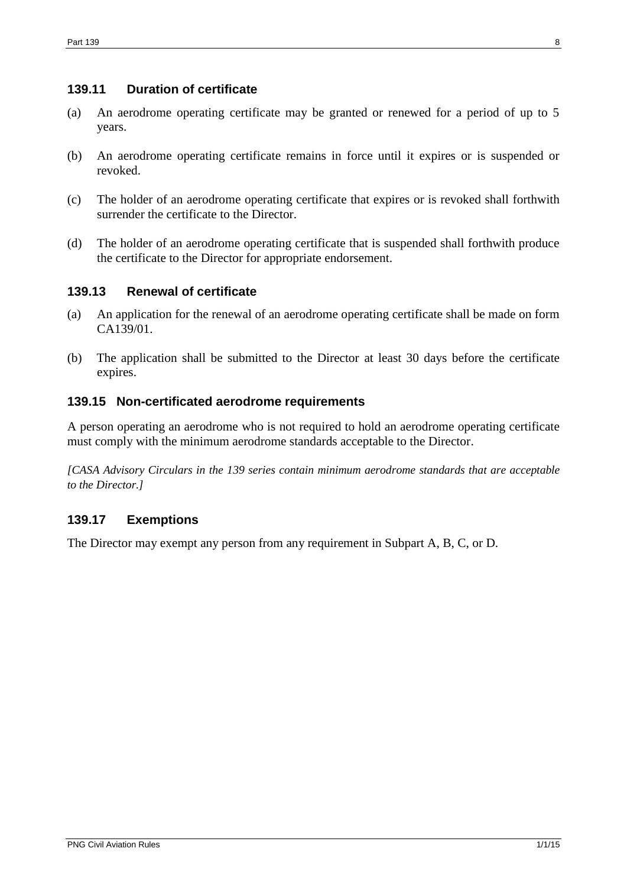### <span id="page-7-0"></span>**139.11 Duration of certificate**

- (a) An aerodrome operating certificate may be granted or renewed for a period of up to 5 years.
- (b) An aerodrome operating certificate remains in force until it expires or is suspended or revoked.
- (c) The holder of an aerodrome operating certificate that expires or is revoked shall forthwith surrender the certificate to the Director.
- (d) The holder of an aerodrome operating certificate that is suspended shall forthwith produce the certificate to the Director for appropriate endorsement.

### <span id="page-7-1"></span>**139.13 Renewal of certificate**

- (a) An application for the renewal of an aerodrome operating certificate shall be made on form CA139/01.
- (b) The application shall be submitted to the Director at least 30 days before the certificate expires.

### **139.15 Non-certificated aerodrome requirements**

A person operating an aerodrome who is not required to hold an aerodrome operating certificate must comply with the minimum aerodrome standards acceptable to the Director.

*[CASA Advisory Circulars in the 139 series contain minimum aerodrome standards that are acceptable to the Director.]*

### <span id="page-7-2"></span>**139.17 Exemptions**

The Director may exempt any person from any requirement in Subpart A, B, C, or D.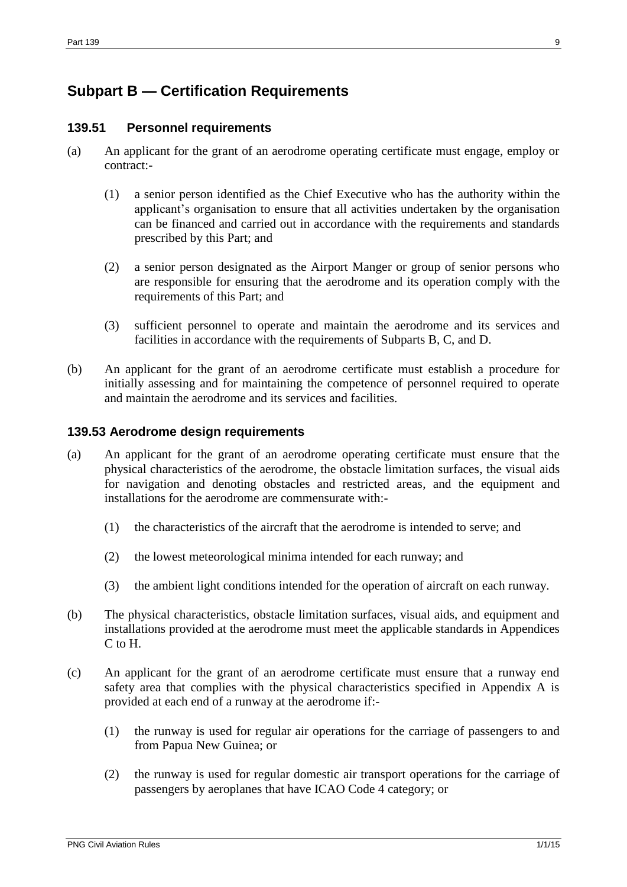# <span id="page-8-1"></span><span id="page-8-0"></span>**Subpart B — Certification Requirements**

### **139.51 Personnel requirements**

- (a) An applicant for the grant of an aerodrome operating certificate must engage, employ or contract:-
	- (1) a senior person identified as the Chief Executive who has the authority within the applicant's organisation to ensure that all activities undertaken by the organisation can be financed and carried out in accordance with the requirements and standards prescribed by this Part; and
	- (2) a senior person designated as the Airport Manger or group of senior persons who are responsible for ensuring that the aerodrome and its operation comply with the requirements of this Part; and
	- (3) sufficient personnel to operate and maintain the aerodrome and its services and facilities in accordance with the requirements of Subparts B, C, and D.
- (b) An applicant for the grant of an aerodrome certificate must establish a procedure for initially assessing and for maintaining the competence of personnel required to operate and maintain the aerodrome and its services and facilities.

### <span id="page-8-2"></span>**139.53 Aerodrome design requirements**

- (a) An applicant for the grant of an aerodrome operating certificate must ensure that the physical characteristics of the aerodrome, the obstacle limitation surfaces, the visual aids for navigation and denoting obstacles and restricted areas, and the equipment and installations for the aerodrome are commensurate with:-
	- (1) the characteristics of the aircraft that the aerodrome is intended to serve; and
	- (2) the lowest meteorological minima intended for each runway; and
	- (3) the ambient light conditions intended for the operation of aircraft on each runway.
- (b) The physical characteristics, obstacle limitation surfaces, visual aids, and equipment and installations provided at the aerodrome must meet the applicable standards in Appendices C to H.
- (c) An applicant for the grant of an aerodrome certificate must ensure that a runway end safety area that complies with the physical characteristics specified in Appendix A is provided at each end of a runway at the aerodrome if:-
	- (1) the runway is used for regular air operations for the carriage of passengers to and from Papua New Guinea; or
	- (2) the runway is used for regular domestic air transport operations for the carriage of passengers by aeroplanes that have ICAO Code 4 category; or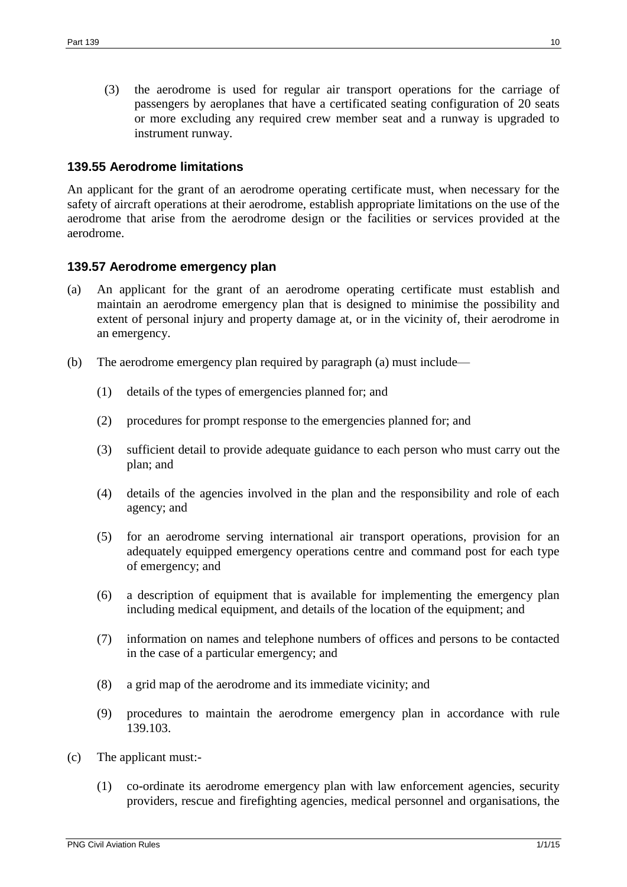(3) the aerodrome is used for regular air transport operations for the carriage of passengers by aeroplanes that have a certificated seating configuration of 20 seats or more excluding any required crew member seat and a runway is upgraded to instrument runway.

#### <span id="page-9-0"></span>**139.55 Aerodrome limitations**

An applicant for the grant of an aerodrome operating certificate must, when necessary for the safety of aircraft operations at their aerodrome, establish appropriate limitations on the use of the aerodrome that arise from the aerodrome design or the facilities or services provided at the aerodrome.

#### <span id="page-9-1"></span>**139.57 Aerodrome emergency plan**

- (a) An applicant for the grant of an aerodrome operating certificate must establish and maintain an aerodrome emergency plan that is designed to minimise the possibility and extent of personal injury and property damage at, or in the vicinity of, their aerodrome in an emergency.
- (b) The aerodrome emergency plan required by paragraph (a) must include—
	- (1) details of the types of emergencies planned for; and
	- (2) procedures for prompt response to the emergencies planned for; and
	- (3) sufficient detail to provide adequate guidance to each person who must carry out the plan; and
	- (4) details of the agencies involved in the plan and the responsibility and role of each agency; and
	- (5) for an aerodrome serving international air transport operations, provision for an adequately equipped emergency operations centre and command post for each type of emergency; and
	- (6) a description of equipment that is available for implementing the emergency plan including medical equipment, and details of the location of the equipment; and
	- (7) information on names and telephone numbers of offices and persons to be contacted in the case of a particular emergency; and
	- (8) a grid map of the aerodrome and its immediate vicinity; and
	- (9) procedures to maintain the aerodrome emergency plan in accordance with rule 139.103.
- (c) The applicant must:-
	- (1) co-ordinate its aerodrome emergency plan with law enforcement agencies, security providers, rescue and firefighting agencies, medical personnel and organisations, the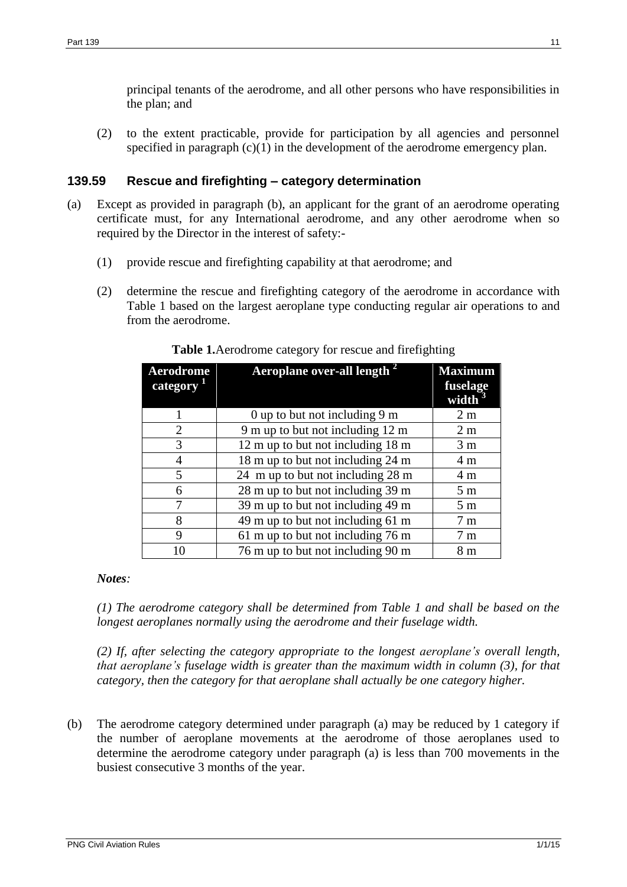principal tenants of the aerodrome, and all other persons who have responsibilities in the plan; and

(2) to the extent practicable, provide for participation by all agencies and personnel specified in paragraph  $(c)(1)$  in the development of the aerodrome emergency plan.

### <span id="page-10-0"></span>**139.59 Rescue and firefighting – category determination**

- (a) Except as provided in paragraph (b), an applicant for the grant of an aerodrome operating certificate must, for any International aerodrome, and any other aerodrome when so required by the Director in the interest of safety:-
	- (1) provide rescue and firefighting capability at that aerodrome; and
	- (2) determine the rescue and firefighting category of the aerodrome in accordance with Table 1 based on the largest aeroplane type conducting regular air operations to and from the aerodrome.

| Aerodrome<br>category | Aeroplane over-all length <sup>2</sup>  | <b>Maximum</b><br>fuselage |
|-----------------------|-----------------------------------------|----------------------------|
|                       |                                         | width                      |
|                       | 0 up to but not including $9 \text{ m}$ | 2 <sub>m</sub>             |
| 2                     | 9 m up to but not including 12 m        | 2 <sub>m</sub>             |
| 3                     | 12 m up to but not including 18 m       | 3 <sub>m</sub>             |
| 4                     | 18 m up to but not including 24 m       | 4 m                        |
| 5                     | 24 m up to but not including 28 m       | 4 m                        |
| 6                     | 28 m up to but not including 39 m       | 5 <sub>m</sub>             |
| 7                     | 39 m up to but not including 49 m       | 5 <sub>m</sub>             |
| 8                     | 49 m up to but not including 61 m       | 7 m                        |
| 9                     | 61 m up to but not including 76 m       | 7 m                        |
|                       | 76 m up to but not including 90 m       | 8 <sub>m</sub>             |

**Table 1.**Aerodrome category for rescue and firefighting

### *Notes:*

*(1) The aerodrome category shall be determined from Table 1 and shall be based on the longest aeroplanes normally using the aerodrome and their fuselage width.*

*(2) If, after selecting the category appropriate to the longest aeroplane's overall length, that aeroplane's fuselage width is greater than the maximum width in column (3), for that category, then the category for that aeroplane shall actually be one category higher.*

(b) The aerodrome category determined under paragraph (a) may be reduced by 1 category if the number of aeroplane movements at the aerodrome of those aeroplanes used to determine the aerodrome category under paragraph (a) is less than 700 movements in the busiest consecutive 3 months of the year.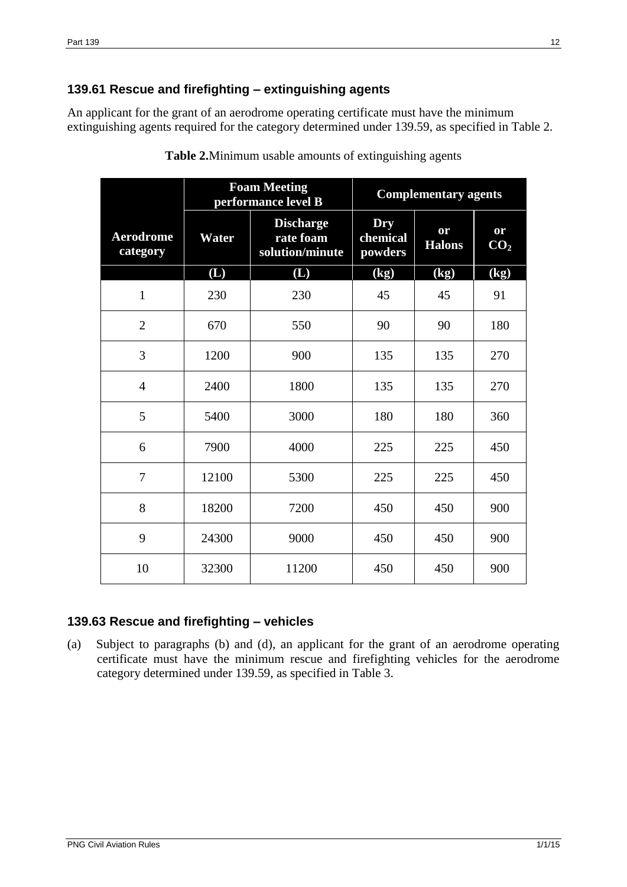# <span id="page-11-0"></span>**139.61 Rescue and firefighting – extinguishing agents**

An applicant for the grant of an aerodrome operating certificate must have the minimum extinguishing agents required for the category determined under 139.59, as specified in Table 2.

|                              | <b>Foam Meeting</b><br>performance level B |                                                  | <b>Complementary agents</b> |                            |                            |
|------------------------------|--------------------------------------------|--------------------------------------------------|-----------------------------|----------------------------|----------------------------|
| <b>Aerodrome</b><br>category | Water                                      | <b>Discharge</b><br>rate foam<br>solution/minute | Dry<br>chemical<br>powders  | or<br><b>Halons</b>        | or<br>CO <sub>2</sub>      |
|                              | (L)                                        | (L)                                              | (kg)                        | $\overline{\textbf{(kg)}}$ | $\overline{\textbf{(kg)}}$ |
| $\mathbf{1}$                 | 230                                        | 230                                              | 45                          | 45                         | 91                         |
| $\overline{2}$               | 670                                        | 550                                              | 90                          | 90                         | 180                        |
| 3                            | 1200                                       | 900                                              | 135                         | 135                        | 270                        |
| $\overline{4}$               | 2400                                       | 1800                                             | 135                         | 135                        | 270                        |
| 5                            | 5400                                       | 3000                                             | 180                         | 180                        | 360                        |
| 6                            | 7900                                       | 4000                                             | 225                         | 225                        | 450                        |
| $\overline{7}$               | 12100                                      | 5300                                             | 225                         | 225                        | 450                        |
| 8                            | 18200                                      | 7200                                             | 450                         | 450                        | 900                        |
| 9                            | 24300                                      | 9000                                             | 450                         | 450                        | 900                        |
| 10                           | 32300                                      | 11200                                            | 450                         | 450                        | 900                        |

**Table 2.**Minimum usable amounts of extinguishing agents

### <span id="page-11-1"></span>**139.63 Rescue and firefighting – vehicles**

(a) Subject to paragraphs (b) and (d), an applicant for the grant of an aerodrome operating certificate must have the minimum rescue and firefighting vehicles for the aerodrome category determined under 139.59, as specified in Table 3.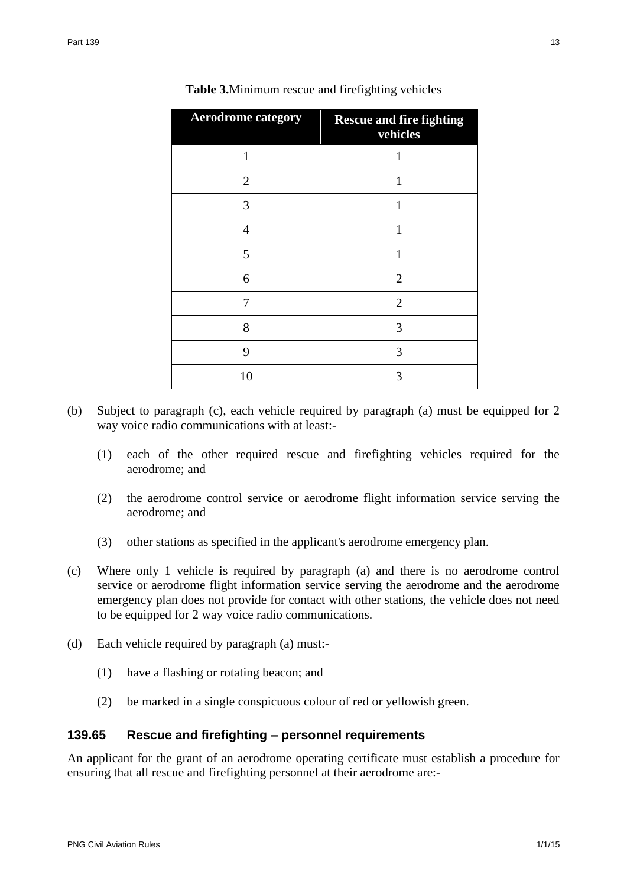| <b>Aerodrome category</b> | <b>Rescue and fire fighting</b><br>vehicles |
|---------------------------|---------------------------------------------|
| 1                         | 1                                           |
| $\overline{2}$            | 1                                           |
| 3                         | 1                                           |
| $\overline{4}$            | $\mathbf{1}$                                |
| 5                         | 1                                           |
| 6                         | $\overline{2}$                              |
| 7                         | $\overline{2}$                              |
| 8                         | 3                                           |
| 9                         | 3                                           |
| 10                        | 3                                           |

| <b>Table 3.</b> Minimum rescue and fire fighting vehicles |  |  |
|-----------------------------------------------------------|--|--|
|                                                           |  |  |

- (b) Subject to paragraph (c), each vehicle required by paragraph (a) must be equipped for 2 way voice radio communications with at least:-
	- (1) each of the other required rescue and firefighting vehicles required for the aerodrome; and
	- (2) the aerodrome control service or aerodrome flight information service serving the aerodrome; and
	- (3) other stations as specified in the applicant's aerodrome emergency plan.
- (c) Where only 1 vehicle is required by paragraph (a) and there is no aerodrome control service or aerodrome flight information service serving the aerodrome and the aerodrome emergency plan does not provide for contact with other stations, the vehicle does not need to be equipped for 2 way voice radio communications.
- (d) Each vehicle required by paragraph (a) must:-
	- (1) have a flashing or rotating beacon; and
	- (2) be marked in a single conspicuous colour of red or yellowish green.

### <span id="page-12-0"></span>**139.65 Rescue and firefighting – personnel requirements**

An applicant for the grant of an aerodrome operating certificate must establish a procedure for ensuring that all rescue and firefighting personnel at their aerodrome are:-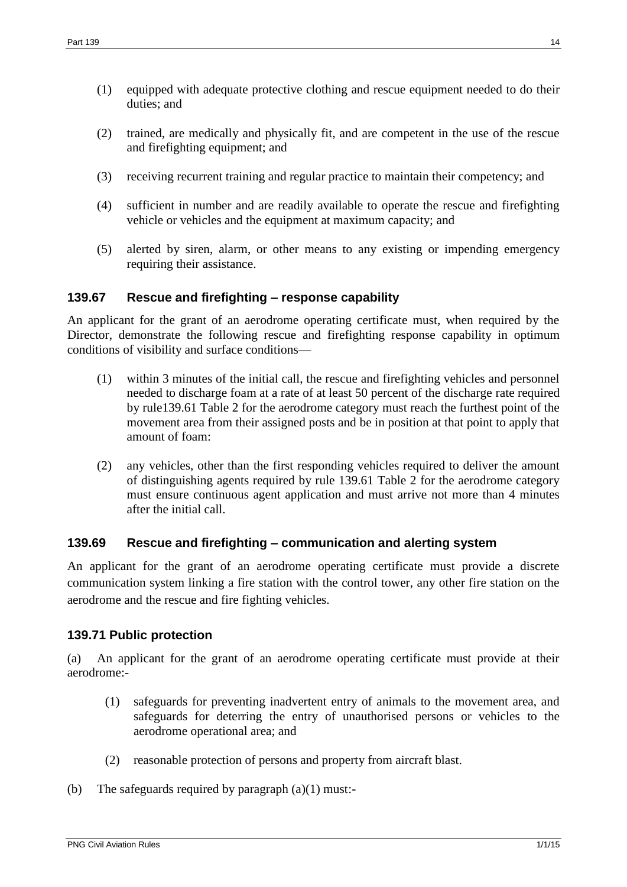- (1) equipped with adequate protective clothing and rescue equipment needed to do their duties; and
- (2) trained, are medically and physically fit, and are competent in the use of the rescue and firefighting equipment; and
- (3) receiving recurrent training and regular practice to maintain their competency; and
- (4) sufficient in number and are readily available to operate the rescue and firefighting vehicle or vehicles and the equipment at maximum capacity; and
- (5) alerted by siren, alarm, or other means to any existing or impending emergency requiring their assistance.

### <span id="page-13-0"></span>**139.67 Rescue and firefighting – response capability**

An applicant for the grant of an aerodrome operating certificate must, when required by the Director, demonstrate the following rescue and firefighting response capability in optimum conditions of visibility and surface conditions—

- (1) within 3 minutes of the initial call, the rescue and firefighting vehicles and personnel needed to discharge foam at a rate of at least 50 percent of the discharge rate required by rule139.61 Table 2 for the aerodrome category must reach the furthest point of the movement area from their assigned posts and be in position at that point to apply that amount of foam:
- (2) any vehicles, other than the first responding vehicles required to deliver the amount of distinguishing agents required by rule 139.61 Table 2 for the aerodrome category must ensure continuous agent application and must arrive not more than 4 minutes after the initial call.

### <span id="page-13-1"></span>**139.69 Rescue and firefighting – communication and alerting system**

An applicant for the grant of an aerodrome operating certificate must provide a discrete communication system linking a fire station with the control tower, any other fire station on the aerodrome and the rescue and fire fighting vehicles.

### <span id="page-13-2"></span>**139.71 Public protection**

(a) An applicant for the grant of an aerodrome operating certificate must provide at their aerodrome:-

- (1) safeguards for preventing inadvertent entry of animals to the movement area, and safeguards for deterring the entry of unauthorised persons or vehicles to the aerodrome operational area; and
- (2) reasonable protection of persons and property from aircraft blast.
- (b) The safeguards required by paragraph (a)(1) must:-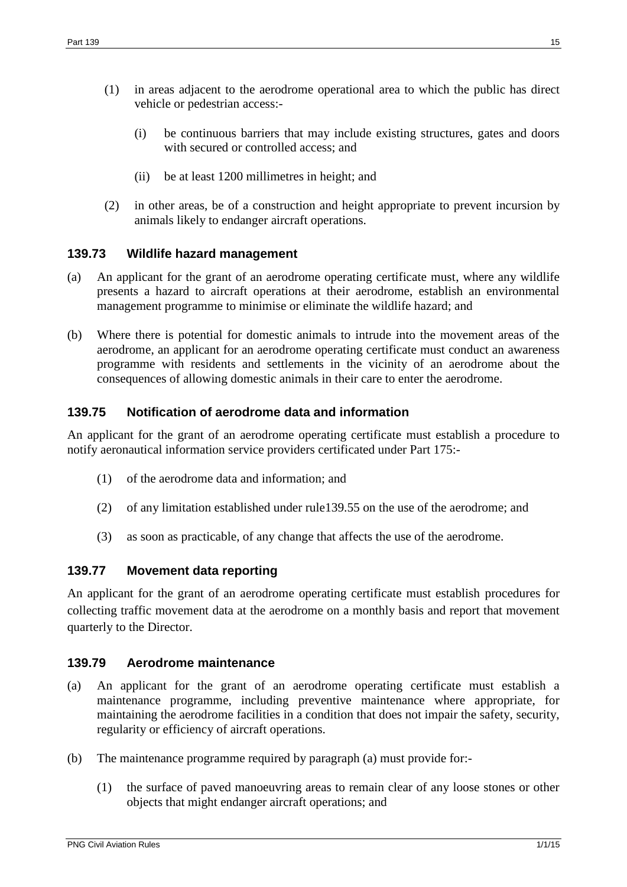- (1) in areas adjacent to the aerodrome operational area to which the public has direct vehicle or pedestrian access:-
	- (i) be continuous barriers that may include existing structures, gates and doors with secured or controlled access; and
	- (ii) be at least 1200 millimetres in height; and
- (2) in other areas, be of a construction and height appropriate to prevent incursion by animals likely to endanger aircraft operations.

### <span id="page-14-0"></span>**139.73 Wildlife hazard management**

- (a) An applicant for the grant of an aerodrome operating certificate must, where any wildlife presents a hazard to aircraft operations at their aerodrome, establish an environmental management programme to minimise or eliminate the wildlife hazard; and
- (b) Where there is potential for domestic animals to intrude into the movement areas of the aerodrome, an applicant for an aerodrome operating certificate must conduct an awareness programme with residents and settlements in the vicinity of an aerodrome about the consequences of allowing domestic animals in their care to enter the aerodrome.

### <span id="page-14-1"></span>**139.75 Notification of aerodrome data and information**

An applicant for the grant of an aerodrome operating certificate must establish a procedure to notify aeronautical information service providers certificated under Part 175:-

- (1) of the aerodrome data and information; and
- (2) of any limitation established under rule139.55 on the use of the aerodrome; and
- (3) as soon as practicable, of any change that affects the use of the aerodrome.

### <span id="page-14-2"></span>**139.77 Movement data reporting**

An applicant for the grant of an aerodrome operating certificate must establish procedures for collecting traffic movement data at the aerodrome on a monthly basis and report that movement quarterly to the Director.

### <span id="page-14-3"></span>**139.79 Aerodrome maintenance**

- (a) An applicant for the grant of an aerodrome operating certificate must establish a maintenance programme, including preventive maintenance where appropriate, for maintaining the aerodrome facilities in a condition that does not impair the safety, security, regularity or efficiency of aircraft operations.
- (b) The maintenance programme required by paragraph (a) must provide for:-
	- (1) the surface of paved manoeuvring areas to remain clear of any loose stones or other objects that might endanger aircraft operations; and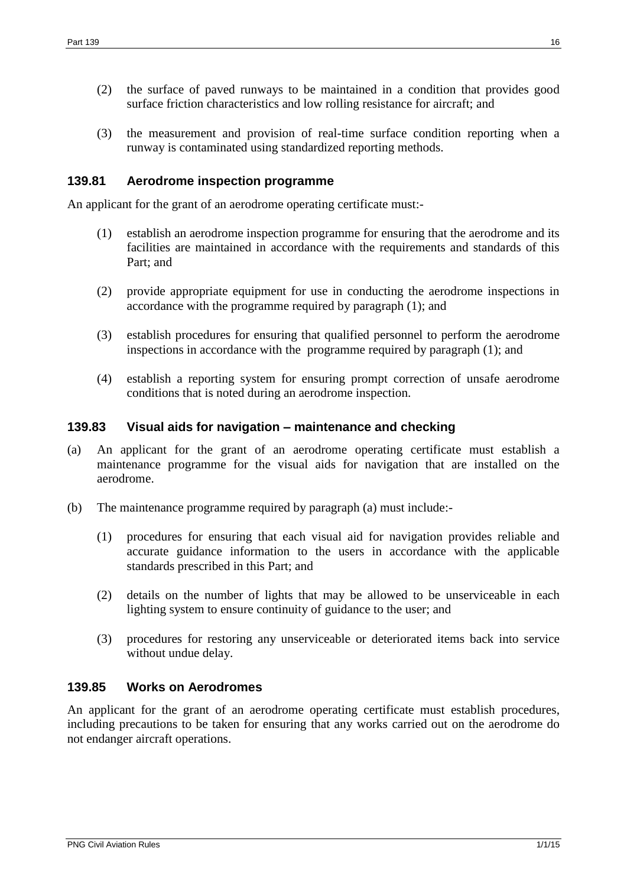- (2) the surface of paved runways to be maintained in a condition that provides good surface friction characteristics and low rolling resistance for aircraft; and
- (3) the measurement and provision of real-time surface condition reporting when a runway is contaminated using standardized reporting methods.

### <span id="page-15-0"></span>**139.81 Aerodrome inspection programme**

An applicant for the grant of an aerodrome operating certificate must:-

- (1) establish an aerodrome inspection programme for ensuring that the aerodrome and its facilities are maintained in accordance with the requirements and standards of this Part; and
- (2) provide appropriate equipment for use in conducting the aerodrome inspections in accordance with the programme required by paragraph (1); and
- (3) establish procedures for ensuring that qualified personnel to perform the aerodrome inspections in accordance with the programme required by paragraph (1); and
- (4) establish a reporting system for ensuring prompt correction of unsafe aerodrome conditions that is noted during an aerodrome inspection.

#### <span id="page-15-1"></span>**139.83 Visual aids for navigation – maintenance and checking**

- (a) An applicant for the grant of an aerodrome operating certificate must establish a maintenance programme for the visual aids for navigation that are installed on the aerodrome.
- (b) The maintenance programme required by paragraph (a) must include:-
	- (1) procedures for ensuring that each visual aid for navigation provides reliable and accurate guidance information to the users in accordance with the applicable standards prescribed in this Part; and
	- (2) details on the number of lights that may be allowed to be unserviceable in each lighting system to ensure continuity of guidance to the user; and
	- (3) procedures for restoring any unserviceable or deteriorated items back into service without undue delay.

### <span id="page-15-2"></span>**139.85 Works on Aerodromes**

An applicant for the grant of an aerodrome operating certificate must establish procedures, including precautions to be taken for ensuring that any works carried out on the aerodrome do not endanger aircraft operations.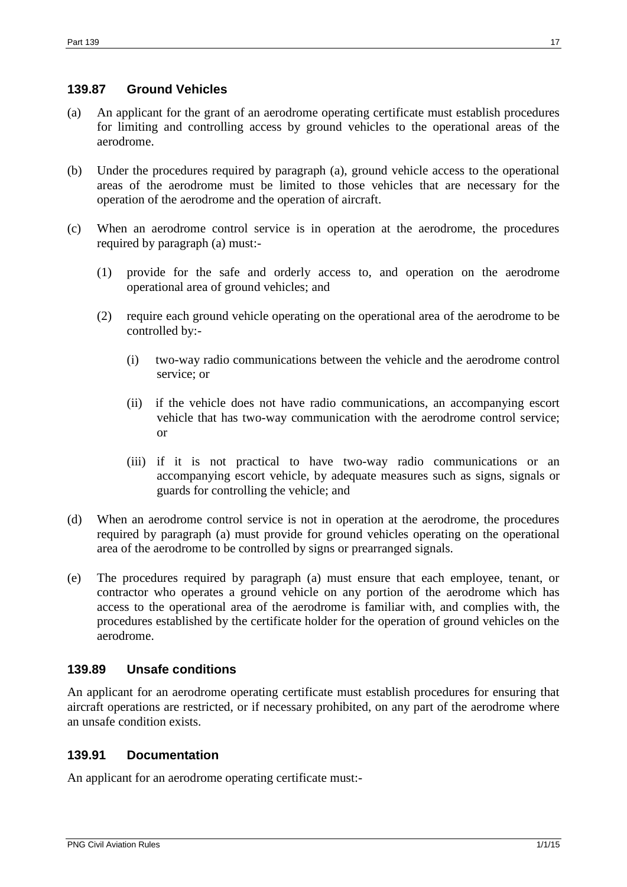### <span id="page-16-0"></span>**139.87 Ground Vehicles**

- (a) An applicant for the grant of an aerodrome operating certificate must establish procedures for limiting and controlling access by ground vehicles to the operational areas of the aerodrome.
- (b) Under the procedures required by paragraph (a), ground vehicle access to the operational areas of the aerodrome must be limited to those vehicles that are necessary for the operation of the aerodrome and the operation of aircraft.
- (c) When an aerodrome control service is in operation at the aerodrome, the procedures required by paragraph (a) must:-
	- (1) provide for the safe and orderly access to, and operation on the aerodrome operational area of ground vehicles; and
	- (2) require each ground vehicle operating on the operational area of the aerodrome to be controlled by:-
		- (i) two-way radio communications between the vehicle and the aerodrome control service; or
		- (ii) if the vehicle does not have radio communications, an accompanying escort vehicle that has two-way communication with the aerodrome control service; or
		- (iii) if it is not practical to have two-way radio communications or an accompanying escort vehicle, by adequate measures such as signs, signals or guards for controlling the vehicle; and
- (d) When an aerodrome control service is not in operation at the aerodrome, the procedures required by paragraph (a) must provide for ground vehicles operating on the operational area of the aerodrome to be controlled by signs or prearranged signals.
- (e) The procedures required by paragraph (a) must ensure that each employee, tenant, or contractor who operates a ground vehicle on any portion of the aerodrome which has access to the operational area of the aerodrome is familiar with, and complies with, the procedures established by the certificate holder for the operation of ground vehicles on the aerodrome.

### <span id="page-16-1"></span>**139.89 Unsafe conditions**

An applicant for an aerodrome operating certificate must establish procedures for ensuring that aircraft operations are restricted, or if necessary prohibited, on any part of the aerodrome where an unsafe condition exists.

### <span id="page-16-2"></span>**139.91 Documentation**

An applicant for an aerodrome operating certificate must:-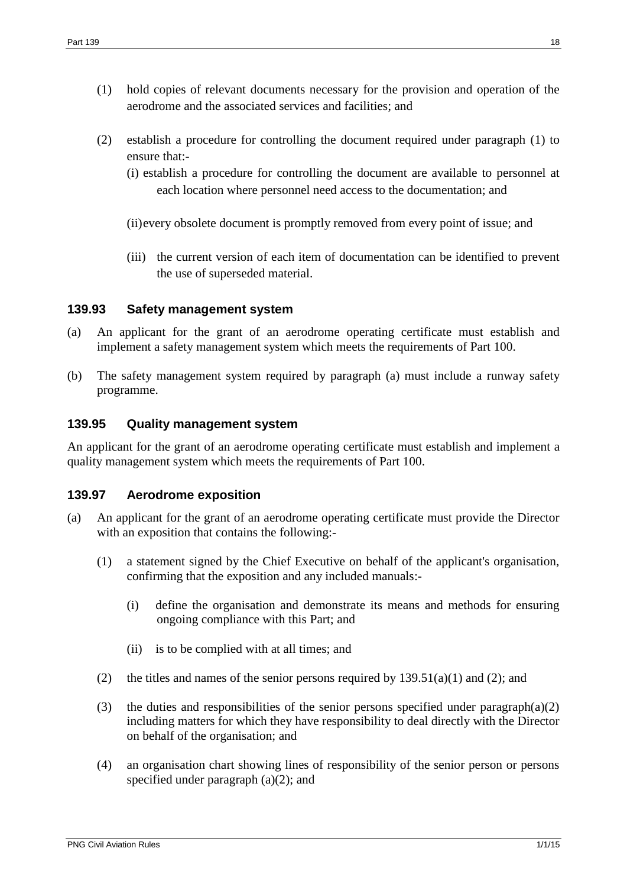- (1) hold copies of relevant documents necessary for the provision and operation of the aerodrome and the associated services and facilities; and
- (2) establish a procedure for controlling the document required under paragraph (1) to ensure that:-
	- (i) establish a procedure for controlling the document are available to personnel at each location where personnel need access to the documentation; and
	- (ii)every obsolete document is promptly removed from every point of issue; and
	- (iii) the current version of each item of documentation can be identified to prevent the use of superseded material.

### <span id="page-17-0"></span>**139.93 Safety management system**

- (a) An applicant for the grant of an aerodrome operating certificate must establish and implement a safety management system which meets the requirements of Part 100.
- (b) The safety management system required by paragraph (a) must include a runway safety programme.

### <span id="page-17-1"></span>**139.95 Quality management system**

An applicant for the grant of an aerodrome operating certificate must establish and implement a quality management system which meets the requirements of Part 100.

### <span id="page-17-2"></span>**139.97 Aerodrome exposition**

- (a) An applicant for the grant of an aerodrome operating certificate must provide the Director with an exposition that contains the following:-
	- (1) a statement signed by the Chief Executive on behalf of the applicant's organisation, confirming that the exposition and any included manuals:-
		- (i) define the organisation and demonstrate its means and methods for ensuring ongoing compliance with this Part; and
		- (ii) is to be complied with at all times; and
	- (2) the titles and names of the senior persons required by  $139.51(a)(1)$  and (2); and
	- (3) the duties and responsibilities of the senior persons specified under paragraph(a)(2) including matters for which they have responsibility to deal directly with the Director on behalf of the organisation; and
	- (4) an organisation chart showing lines of responsibility of the senior person or persons specified under paragraph (a)(2); and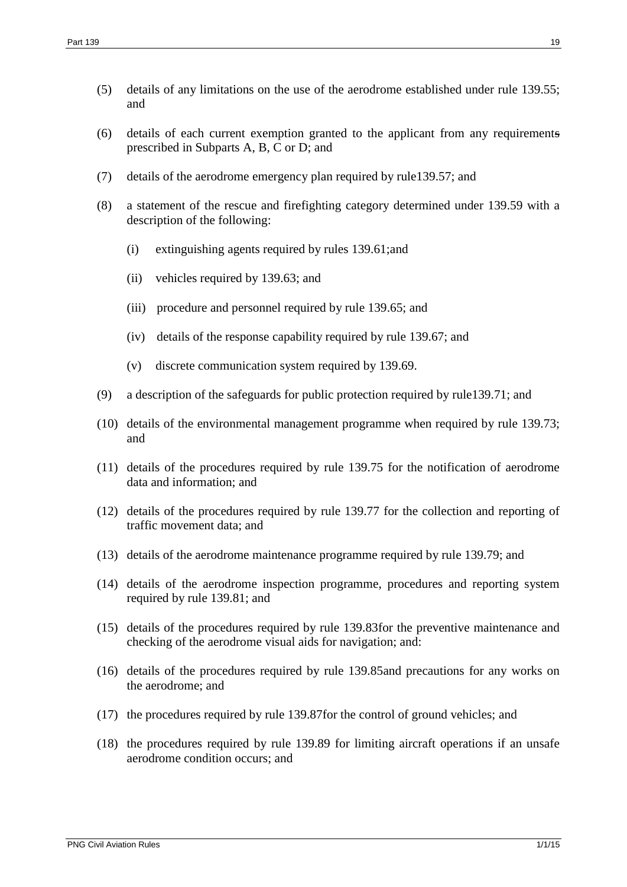- (5) details of any limitations on the use of the aerodrome established under rule 139.55; and
- (6) details of each current exemption granted to the applicant from any requirements prescribed in Subparts A, B, C or D; and
- (7) details of the aerodrome emergency plan required by rule139.57; and
- (8) a statement of the rescue and firefighting category determined under 139.59 with a description of the following:
	- (i) extinguishing agents required by rules 139.61;and
	- (ii) vehicles required by 139.63; and
	- (iii) procedure and personnel required by rule 139.65; and
	- (iv) details of the response capability required by rule 139.67; and
	- (v) discrete communication system required by 139.69.
- (9) a description of the safeguards for public protection required by rule139.71; and
- (10) details of the environmental management programme when required by rule 139.73; and
- (11) details of the procedures required by rule 139.75 for the notification of aerodrome data and information; and
- (12) details of the procedures required by rule 139.77 for the collection and reporting of traffic movement data; and
- (13) details of the aerodrome maintenance programme required by rule 139.79; and
- (14) details of the aerodrome inspection programme, procedures and reporting system required by rule 139.81; and
- (15) details of the procedures required by rule 139.83for the preventive maintenance and checking of the aerodrome visual aids for navigation; and:
- (16) details of the procedures required by rule 139.85and precautions for any works on the aerodrome; and
- (17) the procedures required by rule 139.87for the control of ground vehicles; and
- (18) the procedures required by rule 139.89 for limiting aircraft operations if an unsafe aerodrome condition occurs; and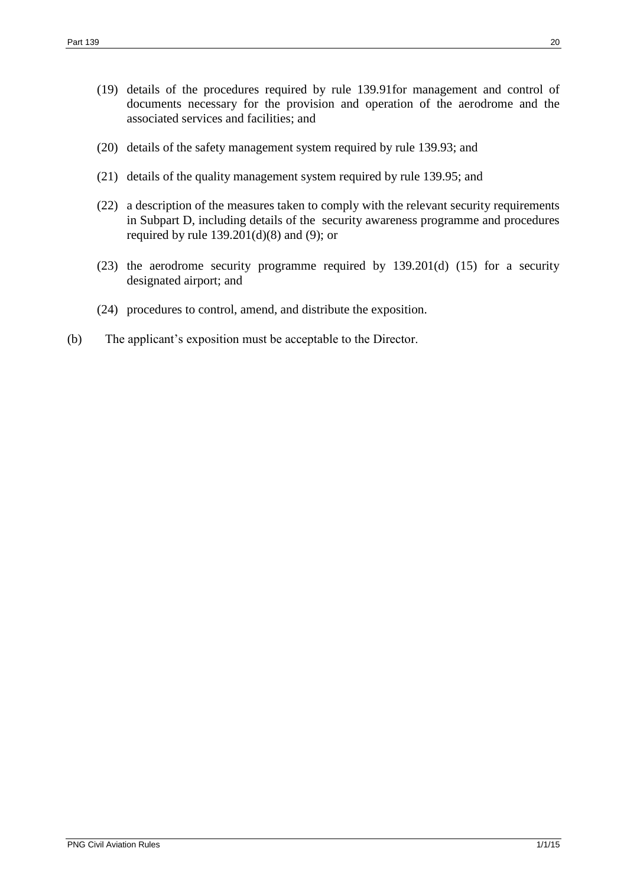- (19) details of the procedures required by rule 139.91for management and control of documents necessary for the provision and operation of the aerodrome and the associated services and facilities; and
- (20) details of the safety management system required by rule 139.93; and
- (21) details of the quality management system required by rule 139.95; and
- (22) a description of the measures taken to comply with the relevant security requirements in Subpart D, including details of the security awareness programme and procedures required by rule  $139.201(d)(8)$  and (9); or
- (23) the aerodrome security programme required by 139.201(d) (15) for a security designated airport; and
- (24) procedures to control, amend, and distribute the exposition.
- (b) The applicant's exposition must be acceptable to the Director.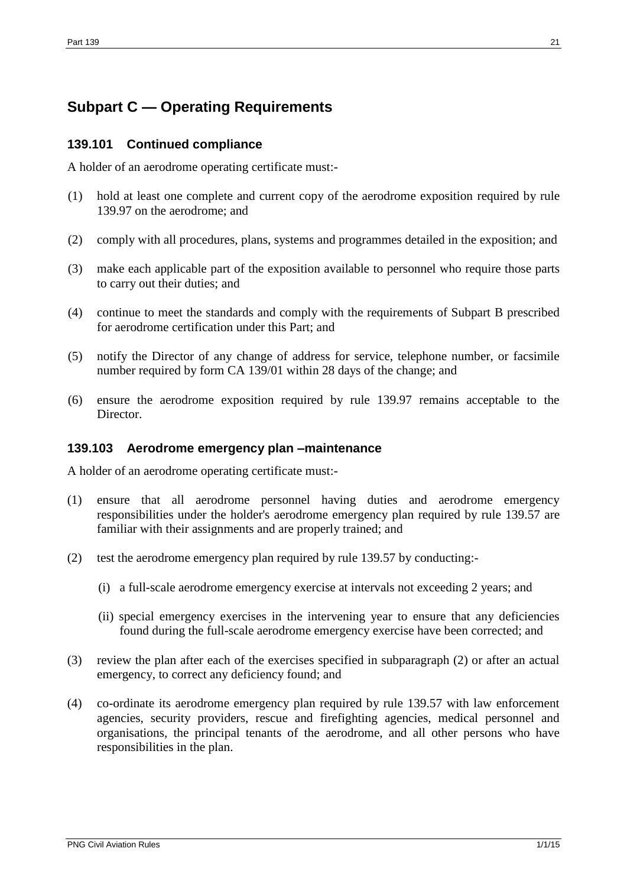# <span id="page-20-0"></span>**Subpart C — Operating Requirements**

### <span id="page-20-1"></span>**139.101 Continued compliance**

A holder of an aerodrome operating certificate must:-

- (1) hold at least one complete and current copy of the aerodrome exposition required by rule 139.97 on the aerodrome; and
- (2) comply with all procedures, plans, systems and programmes detailed in the exposition; and
- (3) make each applicable part of the exposition available to personnel who require those parts to carry out their duties; and
- (4) continue to meet the standards and comply with the requirements of Subpart B prescribed for aerodrome certification under this Part; and
- (5) notify the Director of any change of address for service, telephone number, or facsimile number required by form CA 139/01 within 28 days of the change; and
- (6) ensure the aerodrome exposition required by rule 139.97 remains acceptable to the Director.

### <span id="page-20-2"></span>**139.103 Aerodrome emergency plan –maintenance**

A holder of an aerodrome operating certificate must:-

- (1) ensure that all aerodrome personnel having duties and aerodrome emergency responsibilities under the holder's aerodrome emergency plan required by rule 139.57 are familiar with their assignments and are properly trained; and
- (2) test the aerodrome emergency plan required by rule 139.57 by conducting:-
	- (i) a full-scale aerodrome emergency exercise at intervals not exceeding 2 years; and
	- (ii) special emergency exercises in the intervening year to ensure that any deficiencies found during the full-scale aerodrome emergency exercise have been corrected; and
- (3) review the plan after each of the exercises specified in subparagraph (2) or after an actual emergency, to correct any deficiency found; and
- (4) co-ordinate its aerodrome emergency plan required by rule 139.57 with law enforcement agencies, security providers, rescue and firefighting agencies, medical personnel and organisations, the principal tenants of the aerodrome, and all other persons who have responsibilities in the plan.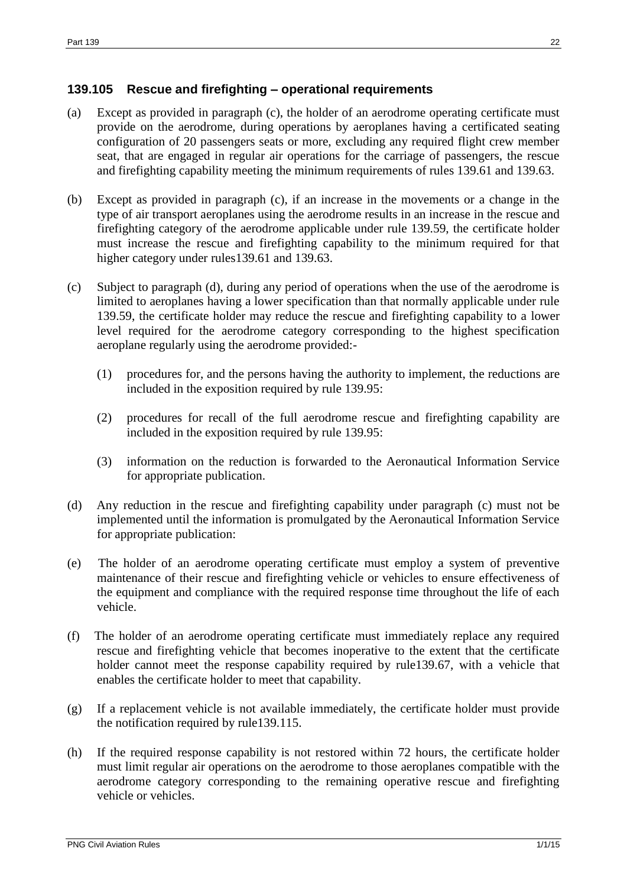### <span id="page-21-0"></span>**139.105 Rescue and firefighting – operational requirements**

- (a) Except as provided in paragraph (c), the holder of an aerodrome operating certificate must provide on the aerodrome, during operations by aeroplanes having a certificated seating configuration of 20 passengers seats or more, excluding any required flight crew member seat, that are engaged in regular air operations for the carriage of passengers, the rescue and firefighting capability meeting the minimum requirements of rules 139.61 and 139.63.
- (b) Except as provided in paragraph (c), if an increase in the movements or a change in the type of air transport aeroplanes using the aerodrome results in an increase in the rescue and firefighting category of the aerodrome applicable under rule 139.59, the certificate holder must increase the rescue and firefighting capability to the minimum required for that higher category under rules139.61 and 139.63.
- (c) Subject to paragraph (d), during any period of operations when the use of the aerodrome is limited to aeroplanes having a lower specification than that normally applicable under rule 139.59, the certificate holder may reduce the rescue and firefighting capability to a lower level required for the aerodrome category corresponding to the highest specification aeroplane regularly using the aerodrome provided:-
	- (1) procedures for, and the persons having the authority to implement, the reductions are included in the exposition required by rule 139.95:
	- (2) procedures for recall of the full aerodrome rescue and firefighting capability are included in the exposition required by rule 139.95:
	- (3) information on the reduction is forwarded to the Aeronautical Information Service for appropriate publication.
- (d) Any reduction in the rescue and firefighting capability under paragraph (c) must not be implemented until the information is promulgated by the Aeronautical Information Service for appropriate publication:
- (e) The holder of an aerodrome operating certificate must employ a system of preventive maintenance of their rescue and firefighting vehicle or vehicles to ensure effectiveness of the equipment and compliance with the required response time throughout the life of each vehicle.
- (f) The holder of an aerodrome operating certificate must immediately replace any required rescue and firefighting vehicle that becomes inoperative to the extent that the certificate holder cannot meet the response capability required by rule139.67, with a vehicle that enables the certificate holder to meet that capability.
- (g) If a replacement vehicle is not available immediately, the certificate holder must provide the notification required by rule139.115.
- (h) If the required response capability is not restored within 72 hours, the certificate holder must limit regular air operations on the aerodrome to those aeroplanes compatible with the aerodrome category corresponding to the remaining operative rescue and firefighting vehicle or vehicles.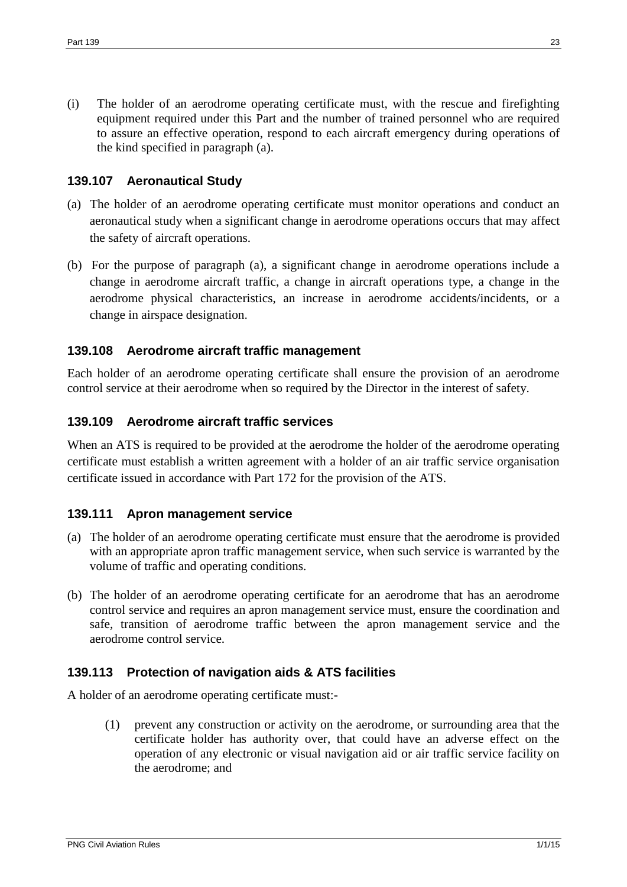(i) The holder of an aerodrome operating certificate must, with the rescue and firefighting equipment required under this Part and the number of trained personnel who are required to assure an effective operation, respond to each aircraft emergency during operations of the kind specified in paragraph (a).

### <span id="page-22-0"></span>**139.107 Aeronautical Study**

- (a) The holder of an aerodrome operating certificate must monitor operations and conduct an aeronautical study when a significant change in aerodrome operations occurs that may affect the safety of aircraft operations.
- (b) For the purpose of paragraph (a), a significant change in aerodrome operations include a change in aerodrome aircraft traffic, a change in aircraft operations type, a change in the aerodrome physical characteristics, an increase in aerodrome accidents/incidents, or a change in airspace designation.

### <span id="page-22-1"></span>**139.108 Aerodrome aircraft traffic management**

Each holder of an aerodrome operating certificate shall ensure the provision of an aerodrome control service at their aerodrome when so required by the Director in the interest of safety.

### <span id="page-22-2"></span>**139.109 Aerodrome aircraft traffic services**

When an ATS is required to be provided at the aerodrome the holder of the aerodrome operating certificate must establish a written agreement with a holder of an air traffic service organisation certificate issued in accordance with Part 172 for the provision of the ATS.

### <span id="page-22-3"></span>**139.111 Apron management service**

- (a) The holder of an aerodrome operating certificate must ensure that the aerodrome is provided with an appropriate apron traffic management service, when such service is warranted by the volume of traffic and operating conditions.
- (b) The holder of an aerodrome operating certificate for an aerodrome that has an aerodrome control service and requires an apron management service must, ensure the coordination and safe, transition of aerodrome traffic between the apron management service and the aerodrome control service.

### <span id="page-22-4"></span>**139.113 Protection of navigation aids & ATS facilities**

A holder of an aerodrome operating certificate must:-

(1) prevent any construction or activity on the aerodrome, or surrounding area that the certificate holder has authority over, that could have an adverse effect on the operation of any electronic or visual navigation aid or air traffic service facility on the aerodrome; and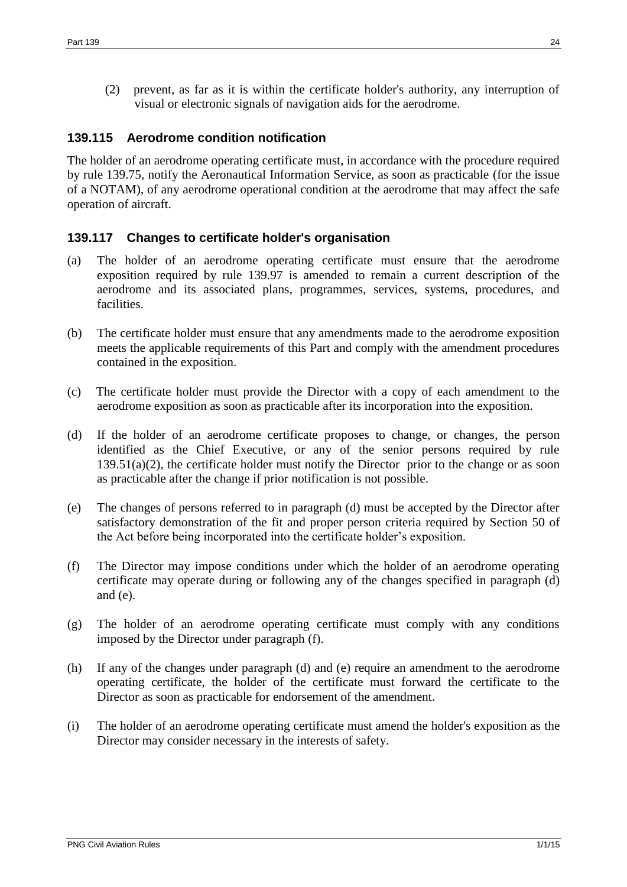(2) prevent, as far as it is within the certificate holder's authority, any interruption of visual or electronic signals of navigation aids for the aerodrome.

### <span id="page-23-0"></span>**139.115 Aerodrome condition notification**

The holder of an aerodrome operating certificate must, in accordance with the procedure required by rule 139.75, notify the Aeronautical Information Service, as soon as practicable (for the issue of a NOTAM), of any aerodrome operational condition at the aerodrome that may affect the safe operation of aircraft.

### <span id="page-23-1"></span>**139.117 Changes to certificate holder's organisation**

- (a) The holder of an aerodrome operating certificate must ensure that the aerodrome exposition required by rule 139.97 is amended to remain a current description of the aerodrome and its associated plans, programmes, services, systems, procedures, and facilities.
- (b) The certificate holder must ensure that any amendments made to the aerodrome exposition meets the applicable requirements of this Part and comply with the amendment procedures contained in the exposition.
- (c) The certificate holder must provide the Director with a copy of each amendment to the aerodrome exposition as soon as practicable after its incorporation into the exposition.
- (d) If the holder of an aerodrome certificate proposes to change, or changes, the person identified as the Chief Executive, or any of the senior persons required by rule  $139.51(a)(2)$ , the certificate holder must notify the Director prior to the change or as soon as practicable after the change if prior notification is not possible.
- (e) The changes of persons referred to in paragraph (d) must be accepted by the Director after satisfactory demonstration of the fit and proper person criteria required by Section 50 of the Act before being incorporated into the certificate holder's exposition.
- (f) The Director may impose conditions under which the holder of an aerodrome operating certificate may operate during or following any of the changes specified in paragraph (d) and (e).
- (g) The holder of an aerodrome operating certificate must comply with any conditions imposed by the Director under paragraph (f).
- (h) If any of the changes under paragraph (d) and (e) require an amendment to the aerodrome operating certificate, the holder of the certificate must forward the certificate to the Director as soon as practicable for endorsement of the amendment.
- (i) The holder of an aerodrome operating certificate must amend the holder's exposition as the Director may consider necessary in the interests of safety.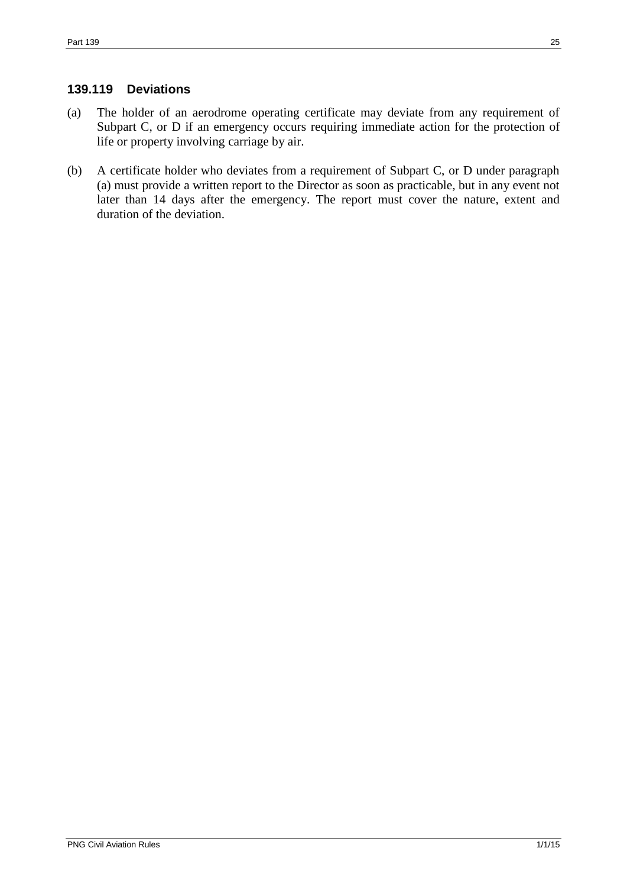# <span id="page-24-0"></span>**139.119 Deviations**

- (a) The holder of an aerodrome operating certificate may deviate from any requirement of Subpart C, or D if an emergency occurs requiring immediate action for the protection of life or property involving carriage by air.
- (b) A certificate holder who deviates from a requirement of Subpart C, or D under paragraph (a) must provide a written report to the Director as soon as practicable, but in any event not later than 14 days after the emergency. The report must cover the nature, extent and duration of the deviation.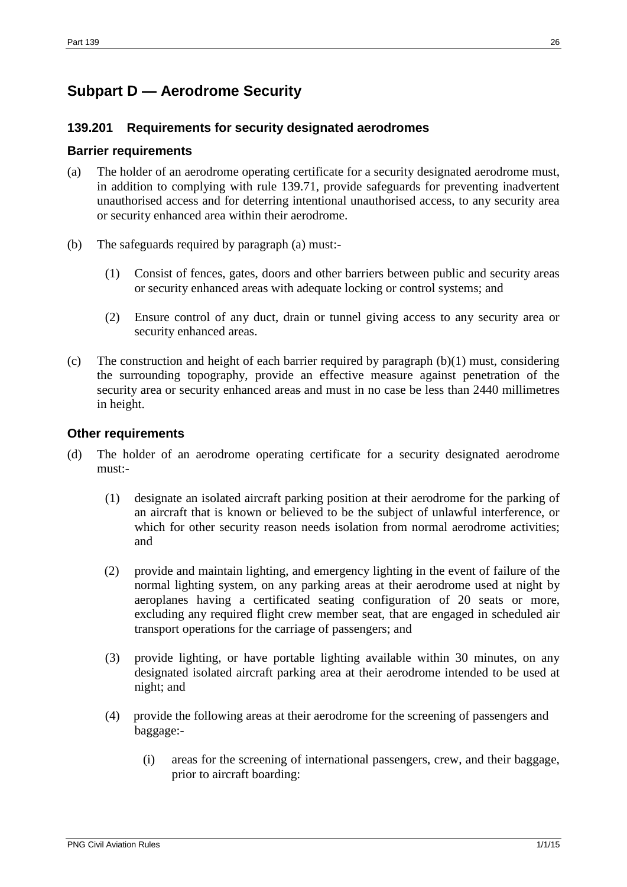# <span id="page-25-0"></span>**Subpart D — Aerodrome Security**

## <span id="page-25-1"></span>**139.201 Requirements for security designated aerodromes**

### **Barrier requirements**

- (a) The holder of an aerodrome operating certificate for a security designated aerodrome must, in addition to complying with rule 139.71, provide safeguards for preventing inadvertent unauthorised access and for deterring intentional unauthorised access, to any security area or security enhanced area within their aerodrome.
- (b) The safeguards required by paragraph (a) must:-
	- (1) Consist of fences, gates, doors and other barriers between public and security areas or security enhanced areas with adequate locking or control systems; and
	- (2) Ensure control of any duct, drain or tunnel giving access to any security area or security enhanced areas.
- (c) The construction and height of each barrier required by paragraph  $(b)(1)$  must, considering the surrounding topography, provide an effective measure against penetration of the security area or security enhanced areas and must in no case be less than 2440 millimetres in height.

### **Other requirements**

- (d) The holder of an aerodrome operating certificate for a security designated aerodrome must:-
	- (1) designate an isolated aircraft parking position at their aerodrome for the parking of an aircraft that is known or believed to be the subject of unlawful interference, or which for other security reason needs isolation from normal aerodrome activities; and
	- (2) provide and maintain lighting, and emergency lighting in the event of failure of the normal lighting system, on any parking areas at their aerodrome used at night by aeroplanes having a certificated seating configuration of 20 seats or more, excluding any required flight crew member seat, that are engaged in scheduled air transport operations for the carriage of passengers; and
	- (3) provide lighting, or have portable lighting available within 30 minutes, on any designated isolated aircraft parking area at their aerodrome intended to be used at night; and
	- (4) provide the following areas at their aerodrome for the screening of passengers and baggage:-
		- (i) areas for the screening of international passengers, crew, and their baggage, prior to aircraft boarding: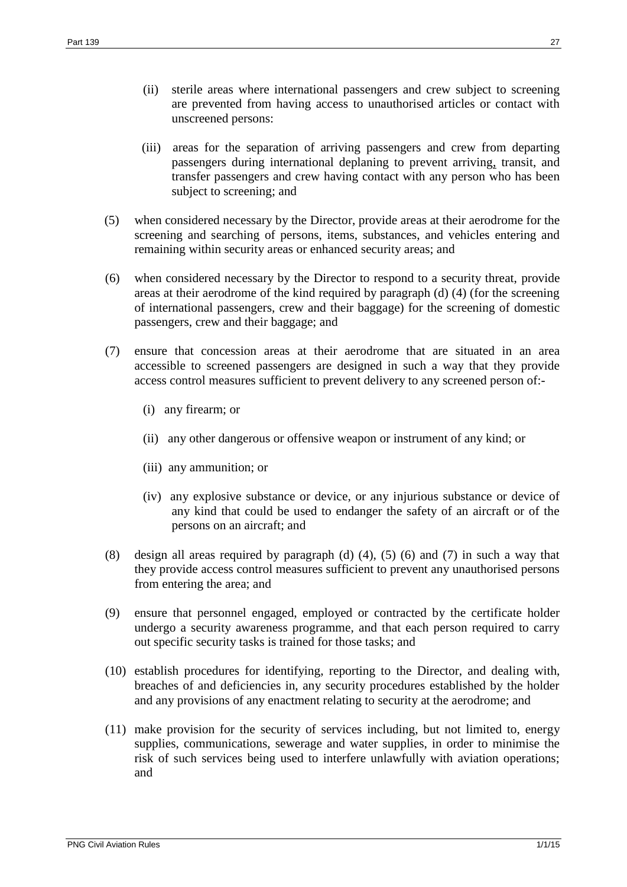- (ii) sterile areas where international passengers and crew subject to screening are prevented from having access to unauthorised articles or contact with unscreened persons:
- (iii) areas for the separation of arriving passengers and crew from departing passengers during international deplaning to prevent arriving, transit, and transfer passengers and crew having contact with any person who has been subject to screening; and
- (5) when considered necessary by the Director, provide areas at their aerodrome for the screening and searching of persons, items, substances, and vehicles entering and remaining within security areas or enhanced security areas; and
- (6) when considered necessary by the Director to respond to a security threat, provide areas at their aerodrome of the kind required by paragraph (d) (4) (for the screening of international passengers, crew and their baggage) for the screening of domestic passengers, crew and their baggage; and
- (7) ensure that concession areas at their aerodrome that are situated in an area accessible to screened passengers are designed in such a way that they provide access control measures sufficient to prevent delivery to any screened person of:-
	- (i) any firearm; or
	- (ii) any other dangerous or offensive weapon or instrument of any kind; or
	- (iii) any ammunition; or
	- (iv) any explosive substance or device, or any injurious substance or device of any kind that could be used to endanger the safety of an aircraft or of the persons on an aircraft; and
- (8) design all areas required by paragraph (d) (4), (5) (6) and (7) in such a way that they provide access control measures sufficient to prevent any unauthorised persons from entering the area; and
- (9) ensure that personnel engaged, employed or contracted by the certificate holder undergo a security awareness programme, and that each person required to carry out specific security tasks is trained for those tasks; and
- (10) establish procedures for identifying, reporting to the Director, and dealing with, breaches of and deficiencies in, any security procedures established by the holder and any provisions of any enactment relating to security at the aerodrome; and
- (11) make provision for the security of services including, but not limited to, energy supplies, communications, sewerage and water supplies, in order to minimise the risk of such services being used to interfere unlawfully with aviation operations; and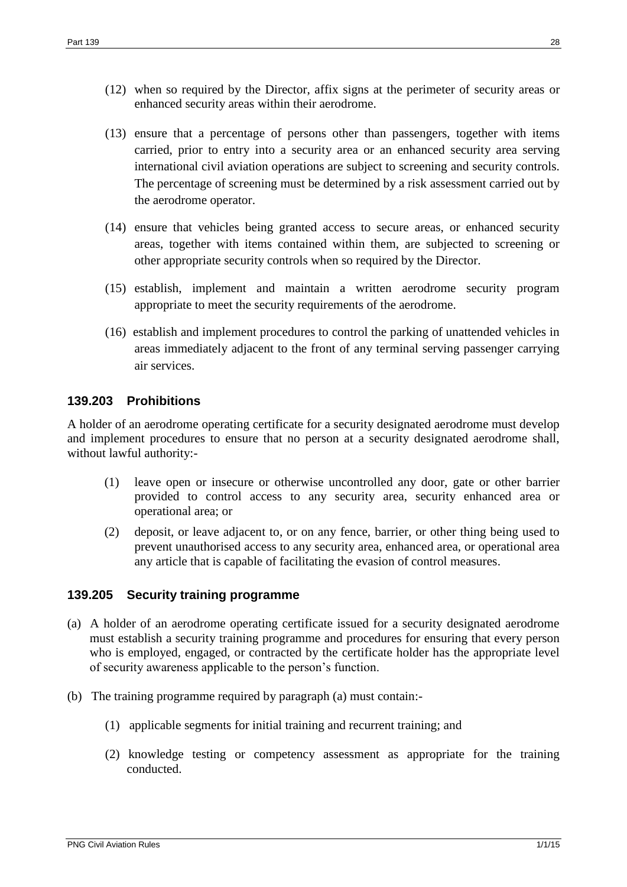- (12) when so required by the Director, affix signs at the perimeter of security areas or enhanced security areas within their aerodrome.
- (13) ensure that a percentage of persons other than passengers, together with items carried, prior to entry into a security area or an enhanced security area serving international civil aviation operations are subject to screening and security controls. The percentage of screening must be determined by a risk assessment carried out by the aerodrome operator.
- (14) ensure that vehicles being granted access to secure areas, or enhanced security areas, together with items contained within them, are subjected to screening or other appropriate security controls when so required by the Director.
- (15) establish, implement and maintain a written aerodrome security program appropriate to meet the security requirements of the aerodrome.
- (16) establish and implement procedures to control the parking of unattended vehicles in areas immediately adjacent to the front of any terminal serving passenger carrying air services.

### <span id="page-27-0"></span>**139.203 Prohibitions**

A holder of an aerodrome operating certificate for a security designated aerodrome must develop and implement procedures to ensure that no person at a security designated aerodrome shall, without lawful authority:-

- (1) leave open or insecure or otherwise uncontrolled any door, gate or other barrier provided to control access to any security area, security enhanced area or operational area; or
- (2) deposit, or leave adjacent to, or on any fence, barrier, or other thing being used to prevent unauthorised access to any security area, enhanced area, or operational area any article that is capable of facilitating the evasion of control measures.

### <span id="page-27-1"></span>**139.205 Security training programme**

- (a) A holder of an aerodrome operating certificate issued for a security designated aerodrome must establish a security training programme and procedures for ensuring that every person who is employed, engaged, or contracted by the certificate holder has the appropriate level of security awareness applicable to the person's function.
- (b) The training programme required by paragraph (a) must contain:-
	- (1) applicable segments for initial training and recurrent training; and
	- (2) knowledge testing or competency assessment as appropriate for the training conducted.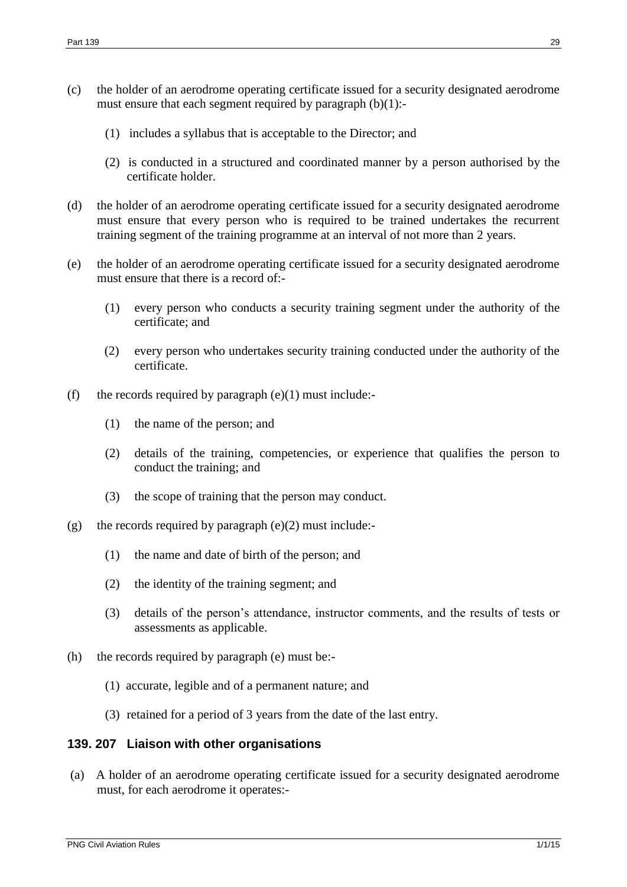- (c) the holder of an aerodrome operating certificate issued for a security designated aerodrome must ensure that each segment required by paragraph  $(b)(1)$ :-
	- (1) includes a syllabus that is acceptable to the Director; and
	- (2) is conducted in a structured and coordinated manner by a person authorised by the certificate holder.
- (d) the holder of an aerodrome operating certificate issued for a security designated aerodrome must ensure that every person who is required to be trained undertakes the recurrent training segment of the training programme at an interval of not more than 2 years.
- (e) the holder of an aerodrome operating certificate issued for a security designated aerodrome must ensure that there is a record of:-
	- (1) every person who conducts a security training segment under the authority of the certificate; and
	- (2) every person who undertakes security training conducted under the authority of the certificate.
- (f) the records required by paragraph  $(e)(1)$  must include:-
	- (1) the name of the person; and
	- (2) details of the training, competencies, or experience that qualifies the person to conduct the training; and
	- (3) the scope of training that the person may conduct.
- (g) the records required by paragraph (e)(2) must include:-
	- (1) the name and date of birth of the person; and
	- (2) the identity of the training segment; and
	- (3) details of the person's attendance, instructor comments, and the results of tests or assessments as applicable.
- (h) the records required by paragraph (e) must be:-
	- (1) accurate, legible and of a permanent nature; and
	- (3) retained for a period of 3 years from the date of the last entry.

### <span id="page-28-0"></span>**139. 207 Liaison with other organisations**

(a) A holder of an aerodrome operating certificate issued for a security designated aerodrome must, for each aerodrome it operates:-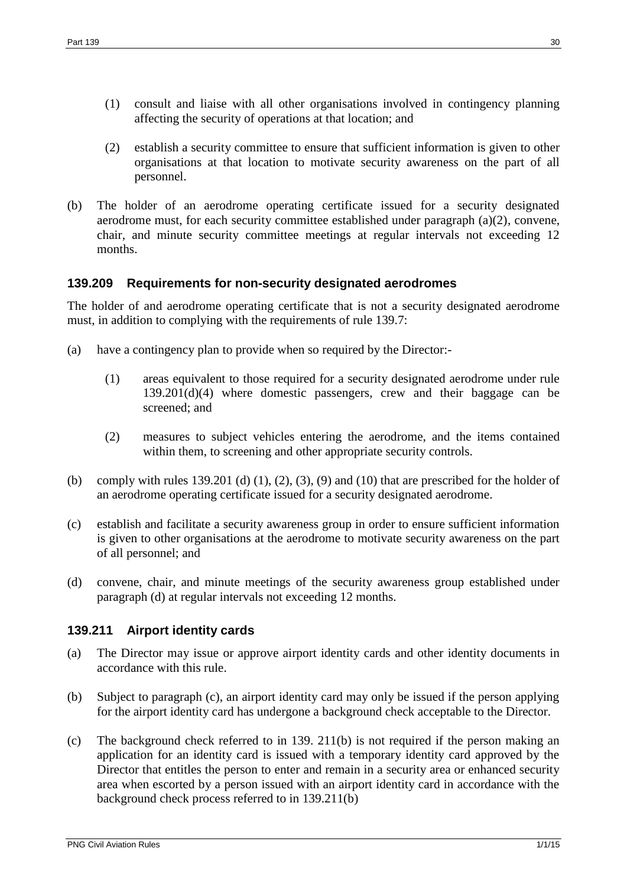- (1) consult and liaise with all other organisations involved in contingency planning affecting the security of operations at that location; and
- (2) establish a security committee to ensure that sufficient information is given to other organisations at that location to motivate security awareness on the part of all personnel.
- (b) The holder of an aerodrome operating certificate issued for a security designated aerodrome must, for each security committee established under paragraph (a)(2), convene, chair, and minute security committee meetings at regular intervals not exceeding 12 months.

### <span id="page-29-0"></span>**139.209 Requirements for non-security designated aerodromes**

The holder of and aerodrome operating certificate that is not a security designated aerodrome must, in addition to complying with the requirements of rule 139.7:

- (a) have a contingency plan to provide when so required by the Director:-
	- (1) areas equivalent to those required for a security designated aerodrome under rule  $139.201(d)(4)$  where domestic passengers, crew and their baggage can be screened; and
	- (2) measures to subject vehicles entering the aerodrome, and the items contained within them, to screening and other appropriate security controls.
- (b) comply with rules 139.201 (d)  $(1)$ ,  $(2)$ ,  $(3)$ ,  $(9)$  and  $(10)$  that are prescribed for the holder of an aerodrome operating certificate issued for a security designated aerodrome.
- (c) establish and facilitate a security awareness group in order to ensure sufficient information is given to other organisations at the aerodrome to motivate security awareness on the part of all personnel; and
- (d) convene, chair, and minute meetings of the security awareness group established under paragraph (d) at regular intervals not exceeding 12 months.

### <span id="page-29-1"></span>**139.211 Airport identity cards**

- (a) The Director may issue or approve airport identity cards and other identity documents in accordance with this rule.
- (b) Subject to paragraph (c), an airport identity card may only be issued if the person applying for the airport identity card has undergone a background check acceptable to the Director.
- (c) The background check referred to in 139. 211(b) is not required if the person making an application for an identity card is issued with a temporary identity card approved by the Director that entitles the person to enter and remain in a security area or enhanced security area when escorted by a person issued with an airport identity card in accordance with the background check process referred to in 139.211(b)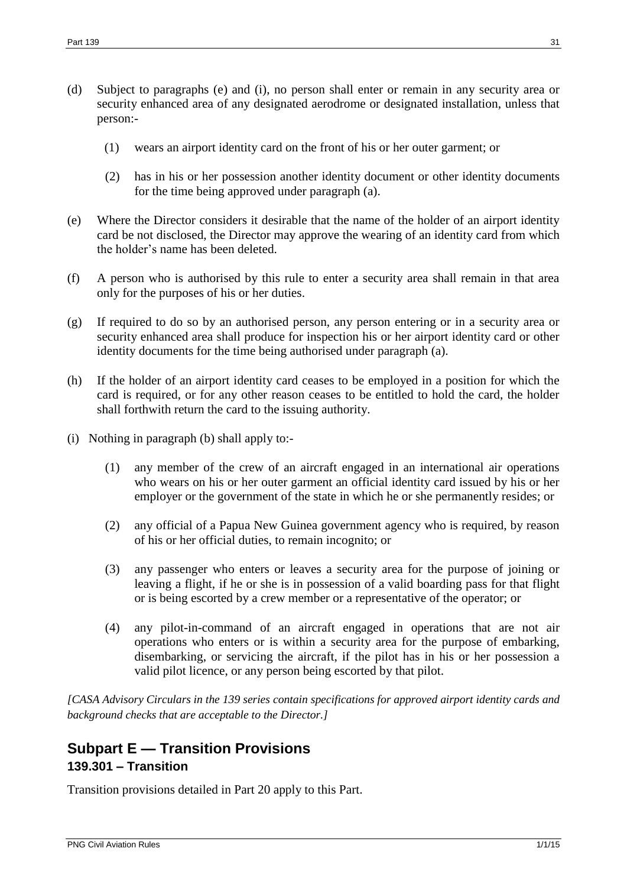- (d) Subject to paragraphs (e) and (i), no person shall enter or remain in any security area or security enhanced area of any designated aerodrome or designated installation, unless that person:-
	- (1) wears an airport identity card on the front of his or her outer garment; or
	- (2) has in his or her possession another identity document or other identity documents for the time being approved under paragraph (a).
- (e) Where the Director considers it desirable that the name of the holder of an airport identity card be not disclosed, the Director may approve the wearing of an identity card from which the holder's name has been deleted.
- (f) A person who is authorised by this rule to enter a security area shall remain in that area only for the purposes of his or her duties.
- (g) If required to do so by an authorised person, any person entering or in a security area or security enhanced area shall produce for inspection his or her airport identity card or other identity documents for the time being authorised under paragraph (a).
- (h) If the holder of an airport identity card ceases to be employed in a position for which the card is required, or for any other reason ceases to be entitled to hold the card, the holder shall forthwith return the card to the issuing authority.
- (i) Nothing in paragraph (b) shall apply to:-
	- (1) any member of the crew of an aircraft engaged in an international air operations who wears on his or her outer garment an official identity card issued by his or her employer or the government of the state in which he or she permanently resides; or
	- (2) any official of a Papua New Guinea government agency who is required, by reason of his or her official duties, to remain incognito; or
	- (3) any passenger who enters or leaves a security area for the purpose of joining or leaving a flight, if he or she is in possession of a valid boarding pass for that flight or is being escorted by a crew member or a representative of the operator; or
	- (4) any pilot-in-command of an aircraft engaged in operations that are not air operations who enters or is within a security area for the purpose of embarking, disembarking, or servicing the aircraft, if the pilot has in his or her possession a valid pilot licence, or any person being escorted by that pilot.

*[CASA Advisory Circulars in the 139 series contain specifications for approved airport identity cards and background checks that are acceptable to the Director.]*

# <span id="page-30-1"></span><span id="page-30-0"></span>**Subpart E — Transition Provisions 139.301 – Transition**

Transition provisions detailed in Part 20 apply to this Part.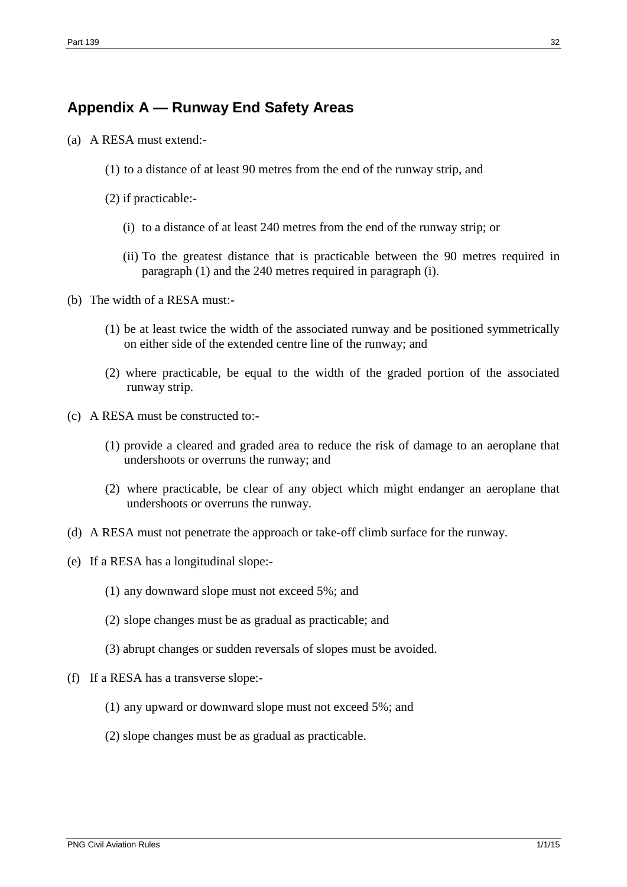# <span id="page-31-0"></span>**Appendix A — Runway End Safety Areas**

- (a) A RESA must extend:-
	- (1) to a distance of at least 90 metres from the end of the runway strip, and
	- (2) if practicable:-
		- (i) to a distance of at least 240 metres from the end of the runway strip; or
		- (ii) To the greatest distance that is practicable between the 90 metres required in paragraph (1) and the 240 metres required in paragraph (i).
- (b) The width of a RESA must:-
	- (1) be at least twice the width of the associated runway and be positioned symmetrically on either side of the extended centre line of the runway; and
	- (2) where practicable, be equal to the width of the graded portion of the associated runway strip.
- (c) A RESA must be constructed to:-
	- (1) provide a cleared and graded area to reduce the risk of damage to an aeroplane that undershoots or overruns the runway; and
	- (2) where practicable, be clear of any object which might endanger an aeroplane that undershoots or overruns the runway.
- (d) A RESA must not penetrate the approach or take-off climb surface for the runway.
- (e) If a RESA has a longitudinal slope:-
	- (1) any downward slope must not exceed 5%; and
	- (2) slope changes must be as gradual as practicable; and
	- (3) abrupt changes or sudden reversals of slopes must be avoided.
- (f) If a RESA has a transverse slope:-
	- (1) any upward or downward slope must not exceed 5%; and
	- (2) slope changes must be as gradual as practicable.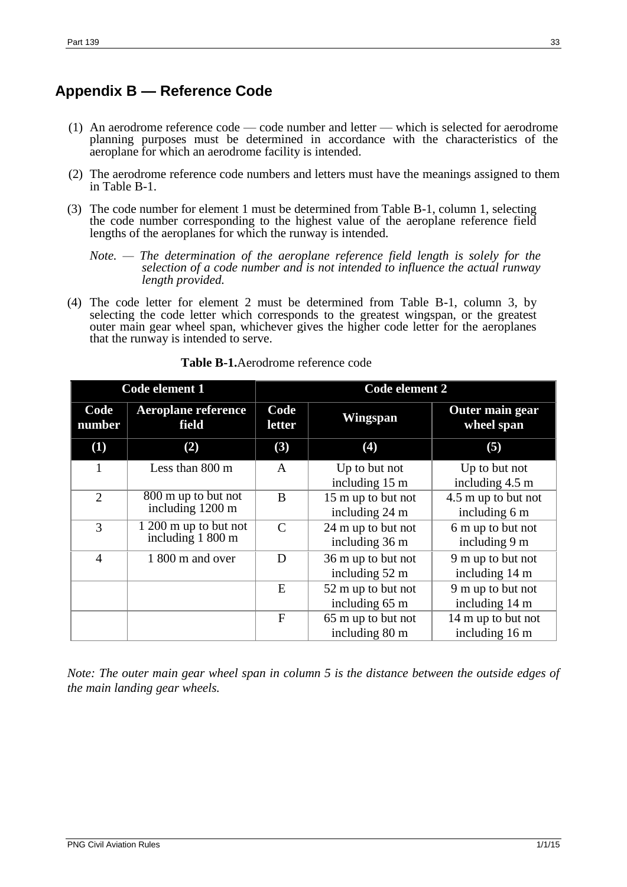# <span id="page-32-0"></span>**Appendix B — Reference Code**

- (1) An aerodrome reference code code number and letter which is selected for aerodrome planning purposes must be determined in accordance with the characteristics of the aeroplane for which an aerodrome facility is intended.
- (2) The aerodrome reference code numbers and letters must have the meanings assigned to them in Table B-1.
- (3) The code number for element 1 must be determined from Table B-1, column 1, selecting the code number corresponding to the highest value of the aeroplane reference field lengths of the aeroplanes for which the runway is intended.

*Note. — The determination of the aeroplane reference field length is solely for the selection of a code number and is not intended to influence the actual runway length provided.*

(4) The code letter for element 2 must be determined from Table B-1, column 3, by selecting the code letter which corresponds to the greatest wingspan, or the greatest outer main gear wheel span, whichever gives the higher code letter for the aeroplanes that the runway is intended to serve.

| Code element 1 |                                            | Code element 2 |                                      |                                      |
|----------------|--------------------------------------------|----------------|--------------------------------------|--------------------------------------|
| Code<br>number | <b>Aeroplane reference</b><br>field        | Code<br>letter | Wingspan                             | <b>Outer main gear</b><br>wheel span |
| (1)            | (2)                                        | (3)            | (4)                                  | (5)                                  |
| 1              | Less than 800 m                            | A              | Up to but not<br>including 15 m      | Up to but not<br>including 4.5 m     |
| $\overline{2}$ | 800 m up to but not<br>including 1200 m    | B              | 15 m up to but not<br>including 24 m | 4.5 m up to but not<br>including 6 m |
| 3              | 1 200 m up to but not<br>including 1 800 m | $\mathcal{C}$  | 24 m up to but not<br>including 36 m | 6 m up to but not<br>including 9 m   |
| $\overline{4}$ | 1 800 m and over                           | D              | 36 m up to but not<br>including 52 m | 9 m up to but not<br>including 14 m  |
|                |                                            | E              | 52 m up to but not<br>including 65 m | 9 m up to but not<br>including 14 m  |
|                |                                            | $\mathbf{F}$   | 65 m up to but not<br>including 80 m | 14 m up to but not<br>including 16 m |

#### **Table B-1.**Aerodrome reference code

*Note: The outer main gear wheel span in column 5 is the distance between the outside edges of the main landing gear wheels.*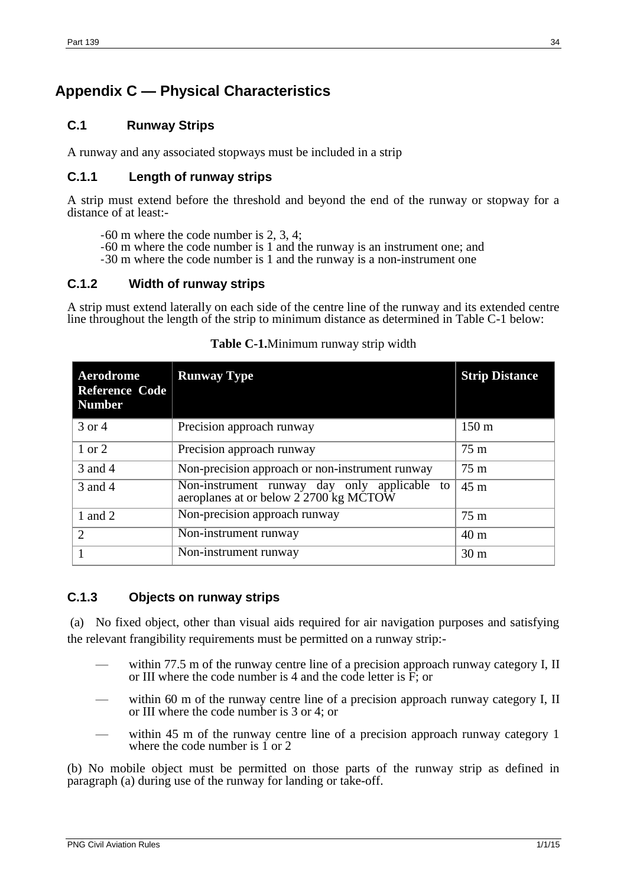# <span id="page-33-0"></span>**Appendix C — Physical Characteristics**

## <span id="page-33-1"></span>**C.1 Runway Strips**

A runway and any associated stopways must be included in a strip

### **C.1.1 Length of runway strips**

A strip must extend before the threshold and beyond the end of the runway or stopway for a distance of at least:-

- -60 m where the code number is 2, 3, 4;
- -60 m where the code number is 1 and the runway is an instrument one; and
- -30 m where the code number is 1 and the runway is a non-instrument one

## **C.1.2 Width of runway strips**

A strip must extend laterally on each side of the centre line of the runway and its extended centre line throughout the length of the strip to minimum distance as determined in Table C-1 below:

| Aerodrome<br><b>Reference Code</b><br><b>Number</b> | <b>Runway Type</b>                                                                     | <b>Strip Distance</b> |
|-----------------------------------------------------|----------------------------------------------------------------------------------------|-----------------------|
| 3 or 4                                              | Precision approach runway                                                              | 150 <sub>m</sub>      |
| 1 or 2                                              | Precision approach runway                                                              | $75 \text{ m}$        |
| 3 and 4                                             | Non-precision approach or non-instrument runway                                        | 75 m                  |
| 3 and 4                                             | Non-instrument runway day only applicable to<br>aeroplanes at or below 2 2700 kg MCTOW | $45 \text{ m}$        |
| 1 and 2                                             | Non-precision approach runway                                                          | $75 \text{ m}$        |
| $\overline{2}$                                      | Non-instrument runway                                                                  | 40 <sub>m</sub>       |
|                                                     | Non-instrument runway                                                                  | 30 <sub>m</sub>       |

### **Table C-1.**Minimum runway strip width

# **C.1.3 Objects on runway strips**

(a) No fixed object, other than visual aids required for air navigation purposes and satisfying the relevant frangibility requirements must be permitted on a runway strip:-

- within 77.5 m of the runway centre line of a precision approach runway category I, II or III where the code number is 4 and the code letter is F; or
- within 60 m of the runway centre line of a precision approach runway category I, II or III where the code number is 3 or 4; or
- within 45 m of the runway centre line of a precision approach runway category 1 where the code number is  $\tilde{1}$  or 2

(b) No mobile object must be permitted on those parts of the runway strip as defined in paragraph (a) during use of the runway for landing or take-off.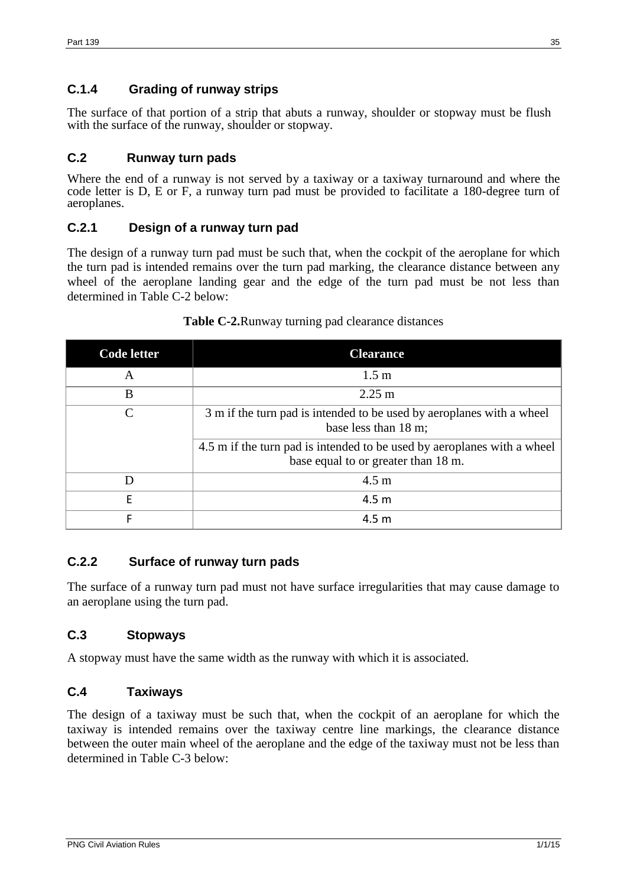# **C.1.4 Grading of runway strips**

The surface of that portion of a strip that abuts a runway, shoulder or stopway must be flush with the surface of the runway, shoulder or stopway.

### <span id="page-34-0"></span>**C.2 Runway turn pads**

Where the end of a runway is not served by a taxiway or a taxiway turnaround and where the code letter is D, E or F, a runway turn pad must be provided to facilitate a 180-degree turn of aeroplanes.

### **C.2.1 Design of a runway turn pad**

The design of a runway turn pad must be such that, when the cockpit of the aeroplane for which the turn pad is intended remains over the turn pad marking, the clearance distance between any wheel of the aeroplane landing gear and the edge of the turn pad must be not less than determined in Table C-2 below:

| Code letter | <b>Clearance</b>                                                                                               |
|-------------|----------------------------------------------------------------------------------------------------------------|
| A           | 1.5 <sub>m</sub>                                                                                               |
| B           | $2.25 \text{ m}$                                                                                               |
| $\subset$   | 3 m if the turn pad is intended to be used by aeroplanes with a wheel<br>base less than 18 m;                  |
|             | 4.5 m if the turn pad is intended to be used by aeroplanes with a wheel<br>base equal to or greater than 18 m. |
| D           | $4.5 \text{ m}$                                                                                                |
| F           | 4.5 <sub>m</sub>                                                                                               |
|             | 4.5 <sub>m</sub>                                                                                               |

### **Table C-2.**Runway turning pad clearance distances

# **C.2.2 Surface of runway turn pads**

The surface of a runway turn pad must not have surface irregularities that may cause damage to an aeroplane using the turn pad.

### <span id="page-34-1"></span>**C.3 Stopways**

A stopway must have the same width as the runway with which it is associated.

# <span id="page-34-2"></span>**C.4 Taxiways**

The design of a taxiway must be such that, when the cockpit of an aeroplane for which the taxiway is intended remains over the taxiway centre line markings, the clearance distance between the outer main wheel of the aeroplane and the edge of the taxiway must not be less than determined in Table C-3 below: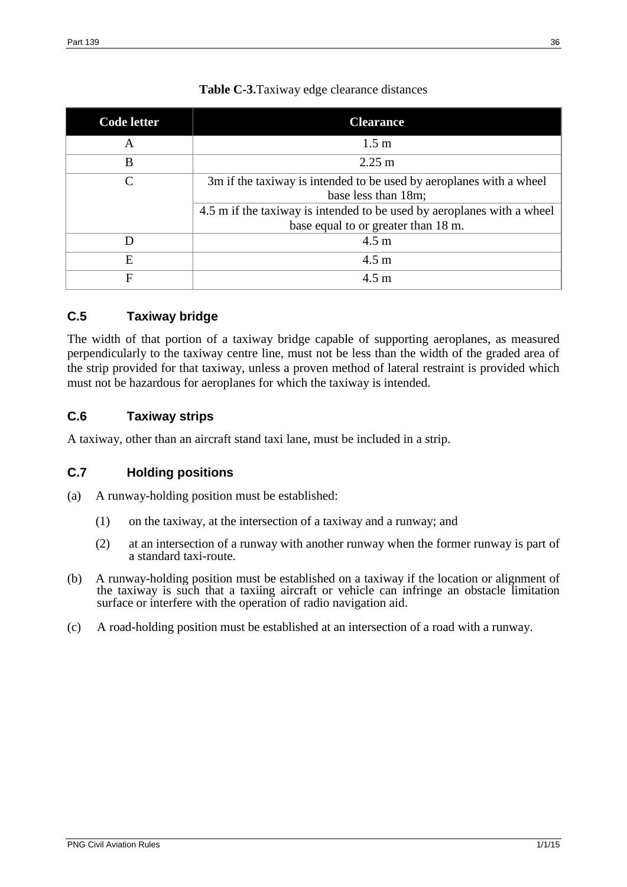| Code letter | <b>Clearance</b>                                                                                                                                                                                            |
|-------------|-------------------------------------------------------------------------------------------------------------------------------------------------------------------------------------------------------------|
| A           | 1.5 <sub>m</sub>                                                                                                                                                                                            |
| B           | $2.25 \text{ m}$                                                                                                                                                                                            |
| $\subset$   | 3m if the taxiway is intended to be used by aeroplanes with a wheel<br>base less than 18m;<br>4.5 m if the taxiway is intended to be used by aeroplanes with a wheel<br>base equal to or greater than 18 m. |
|             | $4.5 \text{ m}$                                                                                                                                                                                             |
| E           | $4.5 \text{ m}$                                                                                                                                                                                             |
| F           | $4.5 \text{ m}$                                                                                                                                                                                             |

# **Table C-3.**Taxiway edge clearance distances

# <span id="page-35-0"></span>**C.5 Taxiway bridge**

The width of that portion of a taxiway bridge capable of supporting aeroplanes, as measured perpendicularly to the taxiway centre line, must not be less than the width of the graded area of the strip provided for that taxiway, unless a proven method of lateral restraint is provided which must not be hazardous for aeroplanes for which the taxiway is intended.

# <span id="page-35-1"></span>**C.6 Taxiway strips**

A taxiway, other than an aircraft stand taxi lane, must be included in a strip.

# <span id="page-35-2"></span>**C.7 Holding positions**

- (a) A runway-holding position must be established:
	- (1) on the taxiway, at the intersection of a taxiway and a runway; and
	- (2) at an intersection of a runway with another runway when the former runway is part of a standard taxi-route.
- (b) A runway-holding position must be established on a taxiway if the location or alignment of the taxiway is such that a taxiing aircraft or vehicle can infringe an obstacle limitation surface or interfere with the operation of radio navigation aid.
- (c) A road-holding position must be established at an intersection of a road with a runway.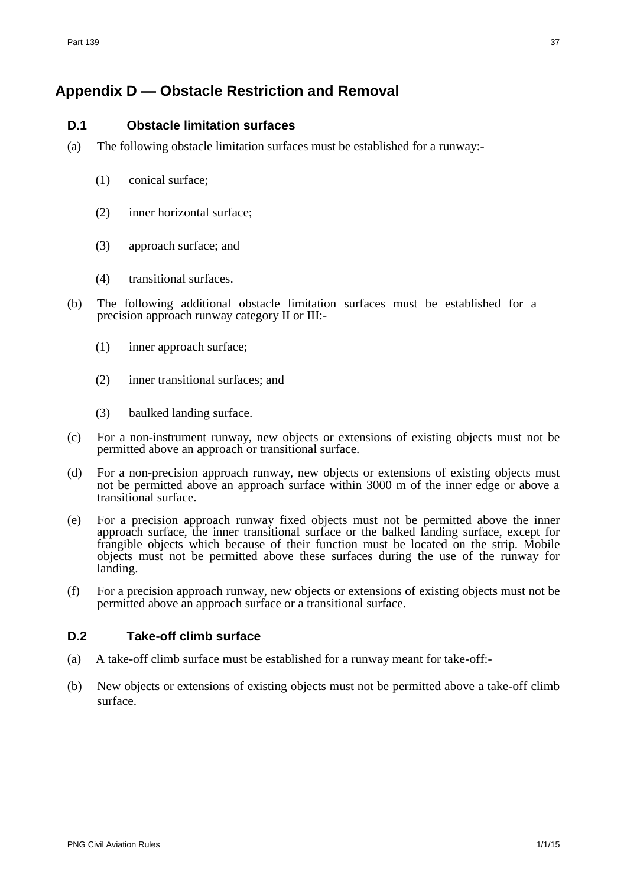# <span id="page-36-0"></span>**Appendix D — Obstacle Restriction and Removal**

### <span id="page-36-1"></span>**D.1 Obstacle limitation surfaces**

- (a) The following obstacle limitation surfaces must be established for a runway:-
	- (1) conical surface;
	- (2) inner horizontal surface;
	- (3) approach surface; and
	- (4) transitional surfaces.
- (b) The following additional obstacle limitation surfaces must be established for a precision approach runway category II or III:-
	- (1) inner approach surface;
	- (2) inner transitional surfaces; and
	- (3) baulked landing surface.
- (c) For a non-instrument runway, new objects or extensions of existing objects must not be permitted above an approach or transitional surface.
- (d) For a non-precision approach runway, new objects or extensions of existing objects must not be permitted above an approach surface within 3000 m of the inner edge or above a transitional surface.
- (e) For a precision approach runway fixed objects must not be permitted above the inner approach surface, the inner transitional surface or the balked landing surface, except for frangible objects which because of their function must be located on the strip. Mobile objects must not be permitted above these surfaces during the use of the runway for landing.
- (f) For a precision approach runway, new objects or extensions of existing objects must not be permitted above an approach surface or a transitional surface.

### <span id="page-36-2"></span>**D.2 Take-off climb surface**

- (a) A take-off climb surface must be established for a runway meant for take-off:-
- (b) New objects or extensions of existing objects must not be permitted above a take-off climb surface.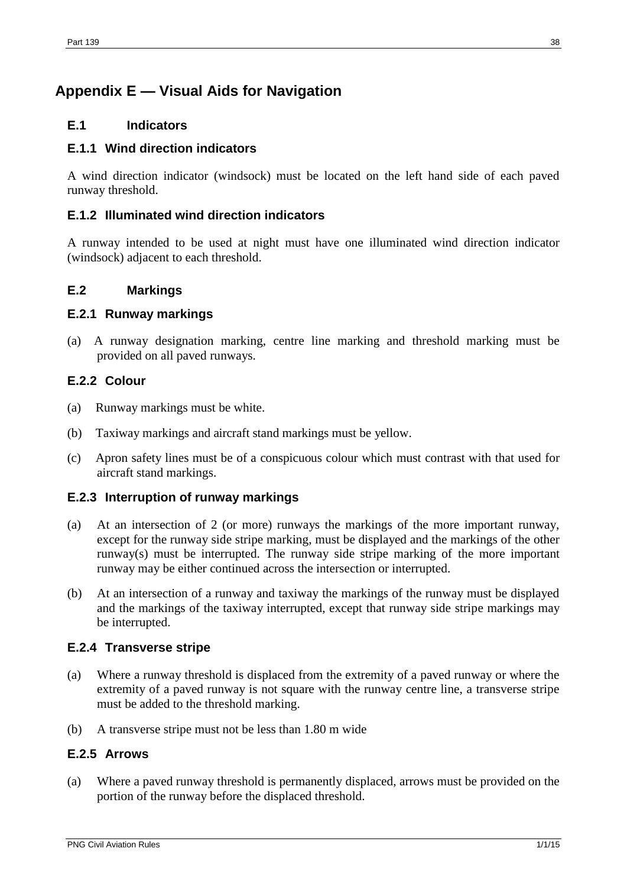# <span id="page-37-0"></span>**Appendix E — Visual Aids for Navigation**

## <span id="page-37-1"></span>**E.1 Indicators**

# **E.1.1 Wind direction indicators**

A wind direction indicator (windsock) must be located on the left hand side of each paved runway threshold.

## **E.1.2 Illuminated wind direction indicators**

A runway intended to be used at night must have one illuminated wind direction indicator (windsock) adjacent to each threshold.

### <span id="page-37-2"></span>**E.2 Markings**

### **E.2.1 Runway markings**

(a) A runway designation marking, centre line marking and threshold marking must be provided on all paved runways.

# **E.2.2 Colour**

- (a) Runway markings must be white.
- (b) Taxiway markings and aircraft stand markings must be yellow.
- (c) Apron safety lines must be of a conspicuous colour which must contrast with that used for aircraft stand markings.

### **E.2.3 Interruption of runway markings**

- (a) At an intersection of 2 (or more) runways the markings of the more important runway, except for the runway side stripe marking, must be displayed and the markings of the other runway(s) must be interrupted. The runway side stripe marking of the more important runway may be either continued across the intersection or interrupted.
- (b) At an intersection of a runway and taxiway the markings of the runway must be displayed and the markings of the taxiway interrupted, except that runway side stripe markings may be interrupted.

### **E.2.4 Transverse stripe**

- (a) Where a runway threshold is displaced from the extremity of a paved runway or where the extremity of a paved runway is not square with the runway centre line, a transverse stripe must be added to the threshold marking.
- (b) A transverse stripe must not be less than 1.80 m wide

### **E.2.5 Arrows**

(a) Where a paved runway threshold is permanently displaced, arrows must be provided on the portion of the runway before the displaced threshold.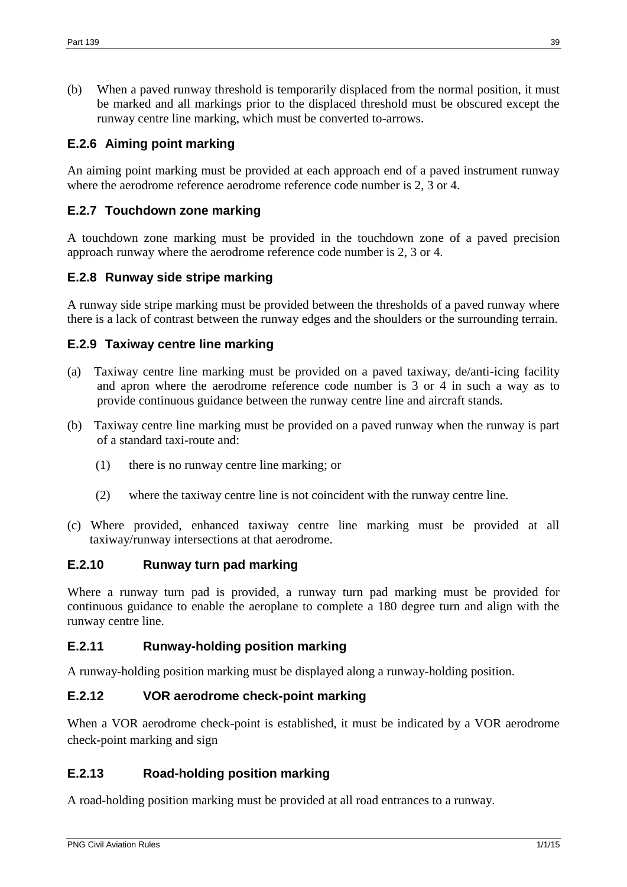(b) When a paved runway threshold is temporarily displaced from the normal position, it must be marked and all markings prior to the displaced threshold must be obscured except the runway centre line marking, which must be converted to-arrows.

## **E.2.6 Aiming point marking**

An aiming point marking must be provided at each approach end of a paved instrument runway where the aerodrome reference aerodrome reference code number is 2, 3 or 4.

### **E.2.7 Touchdown zone marking**

A touchdown zone marking must be provided in the touchdown zone of a paved precision approach runway where the aerodrome reference code number is 2, 3 or 4.

### **E.2.8 Runway side stripe marking**

A runway side stripe marking must be provided between the thresholds of a paved runway where there is a lack of contrast between the runway edges and the shoulders or the surrounding terrain.

### **E.2.9 Taxiway centre line marking**

- (a) Taxiway centre line marking must be provided on a paved taxiway, de/anti-icing facility and apron where the aerodrome reference code number is 3 or 4 in such a way as to provide continuous guidance between the runway centre line and aircraft stands.
- (b) Taxiway centre line marking must be provided on a paved runway when the runway is part of a standard taxi-route and:
	- (1) there is no runway centre line marking; or
	- (2) where the taxiway centre line is not coincident with the runway centre line.
- (c) Where provided, enhanced taxiway centre line marking must be provided at all taxiway/runway intersections at that aerodrome.

### **E.2.10 Runway turn pad marking**

Where a runway turn pad is provided, a runway turn pad marking must be provided for continuous guidance to enable the aeroplane to complete a 180 degree turn and align with the runway centre line.

### **E.2.11 Runway-holding position marking**

A runway-holding position marking must be displayed along a runway-holding position.

### **E.2.12 VOR aerodrome check-point marking**

When a VOR aerodrome check-point is established, it must be indicated by a VOR aerodrome check-point marking and sign

### **E.2.13 Road-holding position marking**

A road-holding position marking must be provided at all road entrances to a runway.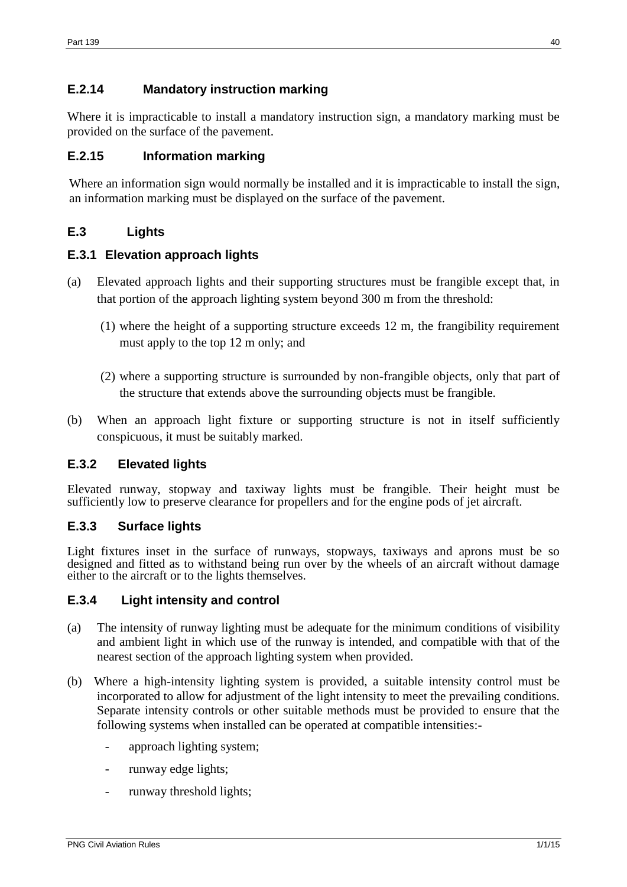# **E.2.14 Mandatory instruction marking**

Where it is impracticable to install a mandatory instruction sign, a mandatory marking must be provided on the surface of the pavement.

## **E.2.15 Information marking**

Where an information sign would normally be installed and it is impracticable to install the sign, an information marking must be displayed on the surface of the pavement.

# <span id="page-39-0"></span>**E.3 Lights**

### **E.3.1 Elevation approach lights**

- (a) Elevated approach lights and their supporting structures must be frangible except that, in that portion of the approach lighting system beyond 300 m from the threshold:
	- (1) where the height of a supporting structure exceeds 12 m, the frangibility requirement must apply to the top 12 m only; and
	- (2) where a supporting structure is surrounded by non-frangible objects, only that part of the structure that extends above the surrounding objects must be frangible.
- (b) When an approach light fixture or supporting structure is not in itself sufficiently conspicuous, it must be suitably marked.

### **E.3.2 Elevated lights**

Elevated runway, stopway and taxiway lights must be frangible. Their height must be sufficiently low to preserve clearance for propellers and for the engine pods of jet aircraft.

### **E.3.3 Surface lights**

Light fixtures inset in the surface of runways, stopways, taxiways and aprons must be so designed and fitted as to withstand being run over by the wheels of an aircraft without damage either to the aircraft or to the lights themselves.

### **E.3.4 Light intensity and control**

- (a) The intensity of runway lighting must be adequate for the minimum conditions of visibility and ambient light in which use of the runway is intended, and compatible with that of the nearest section of the approach lighting system when provided.
- (b) Where a high-intensity lighting system is provided, a suitable intensity control must be incorporated to allow for adjustment of the light intensity to meet the prevailing conditions. Separate intensity controls or other suitable methods must be provided to ensure that the following systems when installed can be operated at compatible intensities:
	- approach lighting system;
	- runway edge lights;
	- runway threshold lights;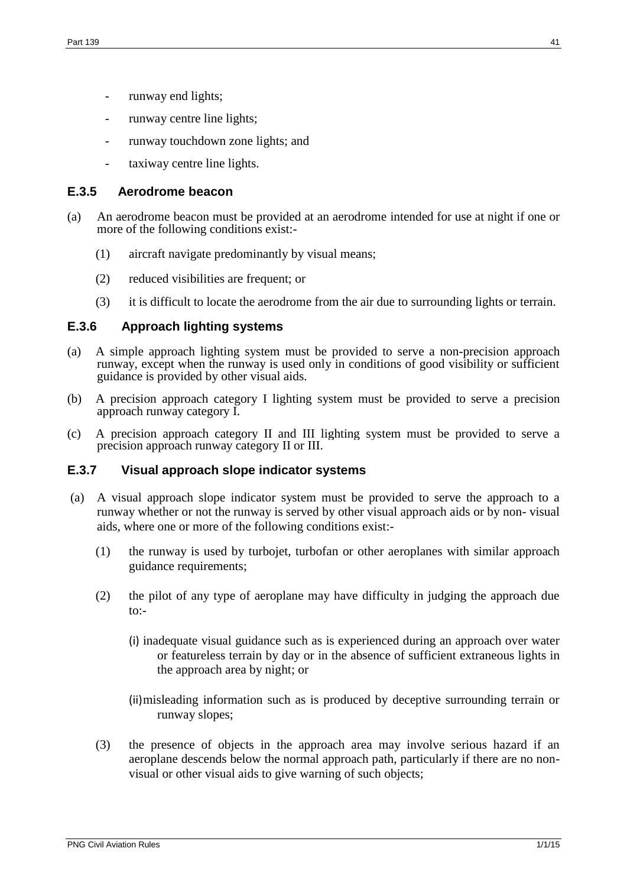- runway end lights;
- runway centre line lights;
- runway touchdown zone lights; and
- taxiway centre line lights.

### **E.3.5 Aerodrome beacon**

- (a) An aerodrome beacon must be provided at an aerodrome intended for use at night if one or more of the following conditions exist:-
	- (1) aircraft navigate predominantly by visual means;
	- (2) reduced visibilities are frequent; or
	- (3) it is difficult to locate the aerodrome from the air due to surrounding lights or terrain.

### **E.3.6 Approach lighting systems**

- (a) A simple approach lighting system must be provided to serve a non-precision approach runway, except when the runway is used only in conditions of good visibility or sufficient guidance is provided by other visual aids.
- (b) A precision approach category I lighting system must be provided to serve a precision approach runway category I.
- (c) A precision approach category II and III lighting system must be provided to serve a precision approach runway category II or III.

### **E.3.7 Visual approach slope indicator systems**

- (a) A visual approach slope indicator system must be provided to serve the approach to a runway whether or not the runway is served by other visual approach aids or by non- visual aids, where one or more of the following conditions exist:-
	- (1) the runway is used by turbojet, turbofan or other aeroplanes with similar approach guidance requirements;
	- (2) the pilot of any type of aeroplane may have difficulty in judging the approach due  $to:$ 
		- (i) inadequate visual guidance such as is experienced during an approach over water or featureless terrain by day or in the absence of sufficient extraneous lights in the approach area by night; or
		- (ii)misleading information such as is produced by deceptive surrounding terrain or runway slopes;
	- (3) the presence of objects in the approach area may involve serious hazard if an aeroplane descends below the normal approach path, particularly if there are no nonvisual or other visual aids to give warning of such objects;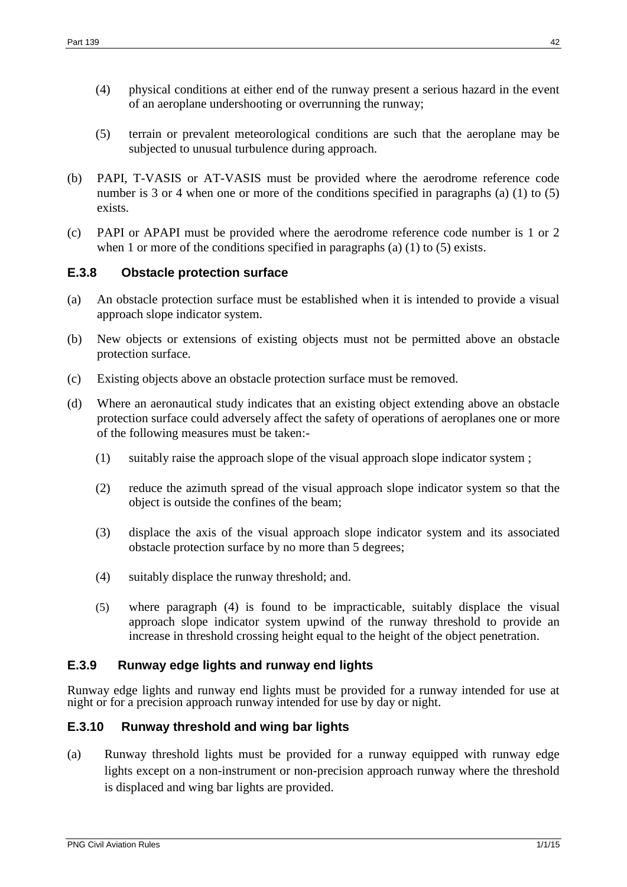- (4) physical conditions at either end of the runway present a serious hazard in the event of an aeroplane undershooting or overrunning the runway;
- (5) terrain or prevalent meteorological conditions are such that the aeroplane may be subjected to unusual turbulence during approach.
- (b) PAPI, T-VASIS or AT-VASIS must be provided where the aerodrome reference code number is 3 or 4 when one or more of the conditions specified in paragraphs (a) (1) to (5) exists.
- (c) PAPI or APAPI must be provided where the aerodrome reference code number is 1 or 2 when 1 or more of the conditions specified in paragraphs (a)  $(1)$  to  $(5)$  exists.

# **E.3.8 Obstacle protection surface**

- (a) An obstacle protection surface must be established when it is intended to provide a visual approach slope indicator system.
- (b) New objects or extensions of existing objects must not be permitted above an obstacle protection surface.
- (c) Existing objects above an obstacle protection surface must be removed.
- (d) Where an aeronautical study indicates that an existing object extending above an obstacle protection surface could adversely affect the safety of operations of aeroplanes one or more of the following measures must be taken:-
	- (1) suitably raise the approach slope of the visual approach slope indicator system ;
	- (2) reduce the azimuth spread of the visual approach slope indicator system so that the object is outside the confines of the beam;
	- (3) displace the axis of the visual approach slope indicator system and its associated obstacle protection surface by no more than 5 degrees;
	- (4) suitably displace the runway threshold; and.
	- (5) where paragraph (4) is found to be impracticable, suitably displace the visual approach slope indicator system upwind of the runway threshold to provide an increase in threshold crossing height equal to the height of the object penetration.

### **E.3.9 Runway edge lights and runway end lights**

Runway edge lights and runway end lights must be provided for a runway intended for use at night or for a precision approach runway intended for use by day or night.

### **E.3.10 Runway threshold and wing bar lights**

(a) Runway threshold lights must be provided for a runway equipped with runway edge lights except on a non-instrument or non-precision approach runway where the threshold is displaced and wing bar lights are provided.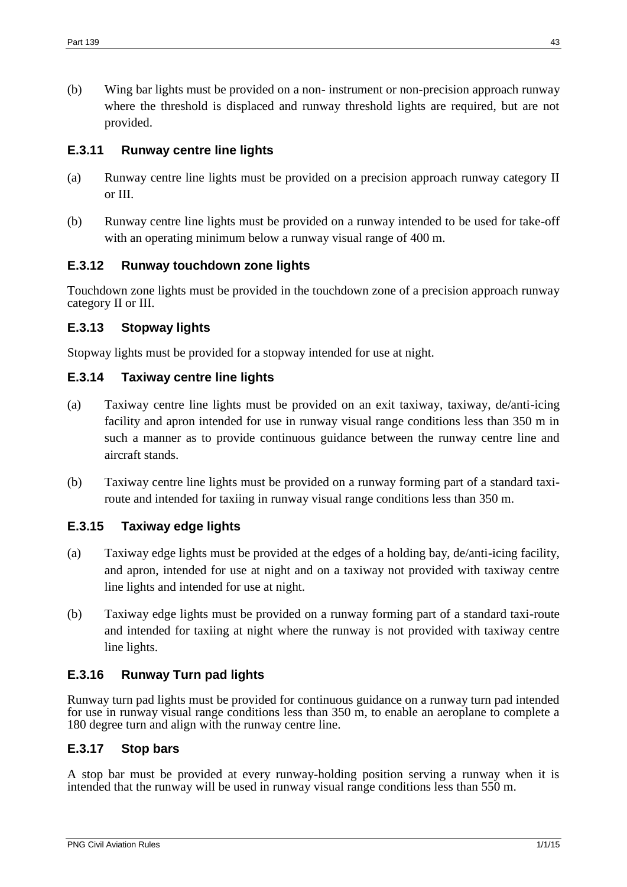(b) Wing bar lights must be provided on a non- instrument or non-precision approach runway where the threshold is displaced and runway threshold lights are required, but are not provided.

### **E.3.11 Runway centre line lights**

- (a) Runway centre line lights must be provided on a precision approach runway category II or III.
- (b) Runway centre line lights must be provided on a runway intended to be used for take-off with an operating minimum below a runway visual range of 400 m.

### **E.3.12 Runway touchdown zone lights**

Touchdown zone lights must be provided in the touchdown zone of a precision approach runway category II or III.

### **E.3.13 Stopway lights**

Stopway lights must be provided for a stopway intended for use at night.

### **E.3.14 Taxiway centre line lights**

- (a) Taxiway centre line lights must be provided on an exit taxiway, taxiway, de/anti-icing facility and apron intended for use in runway visual range conditions less than 350 m in such a manner as to provide continuous guidance between the runway centre line and aircraft stands.
- (b) Taxiway centre line lights must be provided on a runway forming part of a standard taxiroute and intended for taxiing in runway visual range conditions less than 350 m.

# **E.3.15 Taxiway edge lights**

- (a) Taxiway edge lights must be provided at the edges of a holding bay, de/anti-icing facility, and apron, intended for use at night and on a taxiway not provided with taxiway centre line lights and intended for use at night.
- (b) Taxiway edge lights must be provided on a runway forming part of a standard taxi-route and intended for taxiing at night where the runway is not provided with taxiway centre line lights.

### **E.3.16 Runway Turn pad lights**

Runway turn pad lights must be provided for continuous guidance on a runway turn pad intended for use in runway visual range conditions less than 350 m, to enable an aeroplane to complete a 180 degree turn and align with the runway centre line.

### **E.3.17 Stop bars**

A stop bar must be provided at every runway-holding position serving a runway when it is intended that the runway will be used in runway visual range conditions less than 550 m.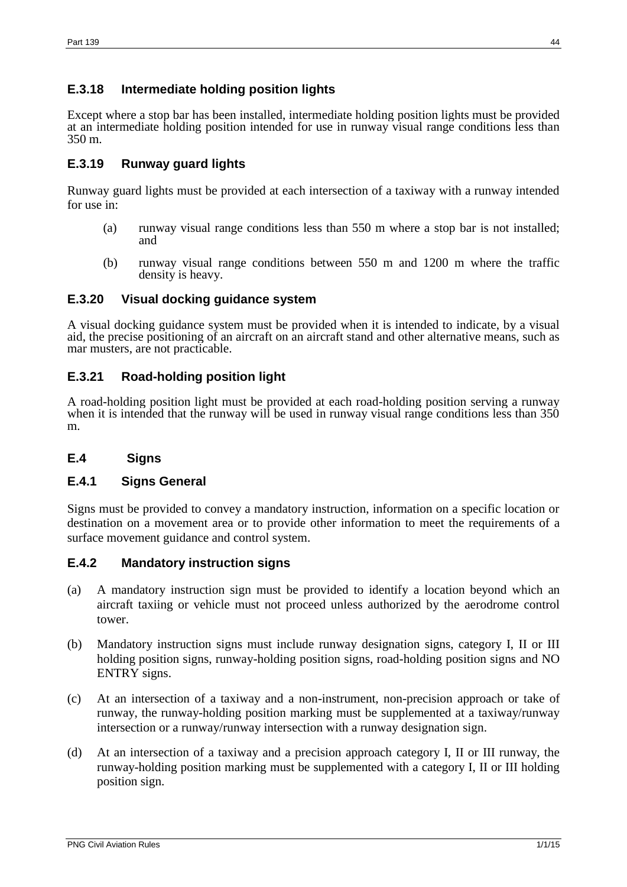# **E.3.18 Intermediate holding position lights**

Except where a stop bar has been installed, intermediate holding position lights must be provided at an intermediate holding position intended for use in runway visual range conditions less than 350 m.

# **E.3.19 Runway guard lights**

Runway guard lights must be provided at each intersection of a taxiway with a runway intended for use in:

- (a) runway visual range conditions less than 550 m where a stop bar is not installed; and
- (b) runway visual range conditions between 550 m and 1200 m where the traffic density is heavy.

### **E.3.20 Visual docking guidance system**

A visual docking guidance system must be provided when it is intended to indicate, by a visual aid, the precise positioning of an aircraft on an aircraft stand and other alternative means, such as mar musters, are not practicable.

# **E.3.21 Road-holding position light**

A road-holding position light must be provided at each road-holding position serving a runway when it is intended that the runway will be used in runway visual range conditions less than 350 m.

# <span id="page-43-0"></span>**E.4 Signs**

### **E.4.1 Signs General**

Signs must be provided to convey a mandatory instruction, information on a specific location or destination on a movement area or to provide other information to meet the requirements of a surface movement guidance and control system.

### **E.4.2 Mandatory instruction signs**

- (a) A mandatory instruction sign must be provided to identify a location beyond which an aircraft taxiing or vehicle must not proceed unless authorized by the aerodrome control tower.
- (b) Mandatory instruction signs must include runway designation signs, category I, II or III holding position signs, runway-holding position signs, road-holding position signs and NO ENTRY signs.
- (c) At an intersection of a taxiway and a non-instrument, non-precision approach or take of runway, the runway-holding position marking must be supplemented at a taxiway/runway intersection or a runway/runway intersection with a runway designation sign.
- (d) At an intersection of a taxiway and a precision approach category I, II or III runway, the runway-holding position marking must be supplemented with a category I, II or III holding position sign.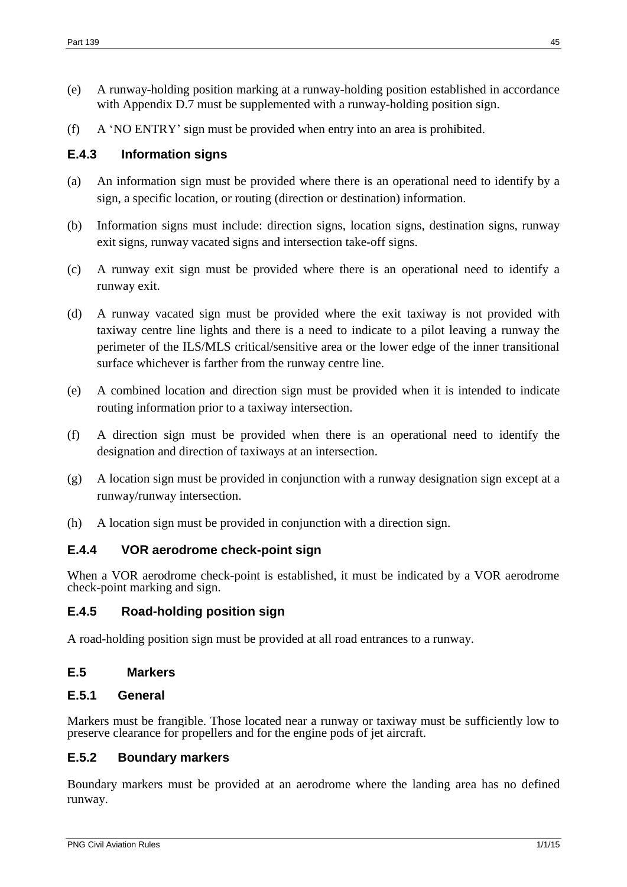- (e) A runway-holding position marking at a runway-holding position established in accordance with Appendix D.7 must be supplemented with a runway-holding position sign.
- (f) A 'NO ENTRY' sign must be provided when entry into an area is prohibited.

## **E.4.3 Information signs**

- (a) An information sign must be provided where there is an operational need to identify by a sign, a specific location, or routing (direction or destination) information.
- (b) Information signs must include: direction signs, location signs, destination signs, runway exit signs, runway vacated signs and intersection take-off signs.
- (c) A runway exit sign must be provided where there is an operational need to identify a runway exit.
- (d) A runway vacated sign must be provided where the exit taxiway is not provided with taxiway centre line lights and there is a need to indicate to a pilot leaving a runway the perimeter of the ILS/MLS critical/sensitive area or the lower edge of the inner transitional surface whichever is farther from the runway centre line.
- (e) A combined location and direction sign must be provided when it is intended to indicate routing information prior to a taxiway intersection.
- (f) A direction sign must be provided when there is an operational need to identify the designation and direction of taxiways at an intersection.
- (g) A location sign must be provided in conjunction with a runway designation sign except at a runway/runway intersection.
- (h) A location sign must be provided in conjunction with a direction sign.

### **E.4.4 VOR aerodrome check-point sign**

When a VOR aerodrome check-point is established, it must be indicated by a VOR aerodrome check-point marking and sign.

### **E.4.5 Road-holding position sign**

A road-holding position sign must be provided at all road entrances to a runway.

### <span id="page-44-0"></span>**E.5 Markers**

### **E.5.1 General**

Markers must be frangible. Those located near a runway or taxiway must be sufficiently low to preserve clearance for propellers and for the engine pods of jet aircraft.

### **E.5.2 Boundary markers**

Boundary markers must be provided at an aerodrome where the landing area has no defined runway.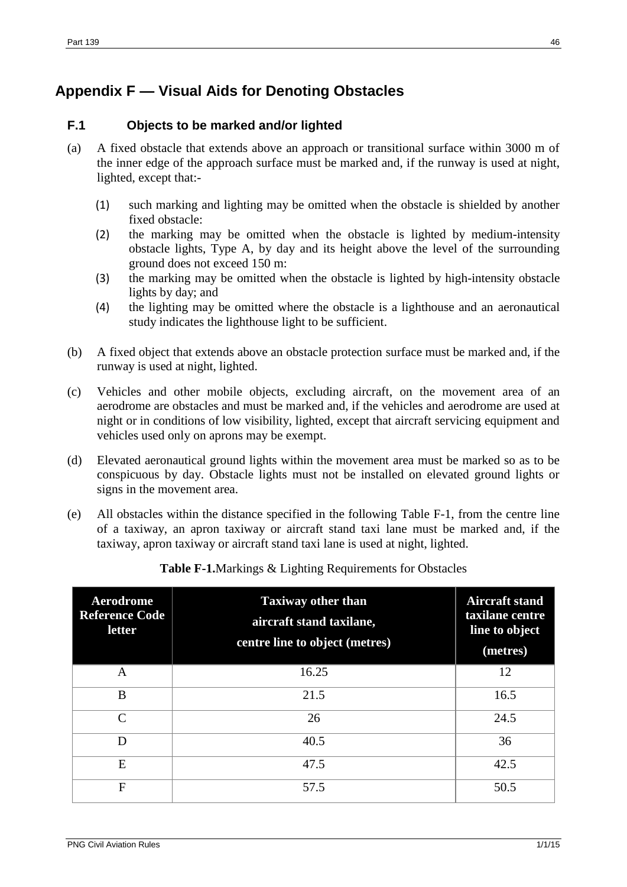# <span id="page-45-0"></span>**Appendix F — Visual Aids for Denoting Obstacles**

## <span id="page-45-1"></span>**F.1 Objects to be marked and/or lighted**

- (a) A fixed obstacle that extends above an approach or transitional surface within 3000 m of the inner edge of the approach surface must be marked and, if the runway is used at night, lighted, except that:-
	- (1) such marking and lighting may be omitted when the obstacle is shielded by another fixed obstacle:
	- (2) the marking may be omitted when the obstacle is lighted by medium-intensity obstacle lights, Type A, by day and its height above the level of the surrounding ground does not exceed 150 m:
	- (3) the marking may be omitted when the obstacle is lighted by high-intensity obstacle lights by day; and
	- (4) the lighting may be omitted where the obstacle is a lighthouse and an aeronautical study indicates the lighthouse light to be sufficient.
- (b) A fixed object that extends above an obstacle protection surface must be marked and, if the runway is used at night, lighted.
- (c) Vehicles and other mobile objects, excluding aircraft, on the movement area of an aerodrome are obstacles and must be marked and, if the vehicles and aerodrome are used at night or in conditions of low visibility, lighted, except that aircraft servicing equipment and vehicles used only on aprons may be exempt.
- (d) Elevated aeronautical ground lights within the movement area must be marked so as to be conspicuous by day. Obstacle lights must not be installed on elevated ground lights or signs in the movement area.
- (e) All obstacles within the distance specified in the following Table F-1, from the centre line of a taxiway, an apron taxiway or aircraft stand taxi lane must be marked and, if the taxiway, apron taxiway or aircraft stand taxi lane is used at night, lighted.

| Aerodrome<br><b>Reference Code</b><br>letter | <b>Taxiway other than</b><br>aircraft stand taxilane,<br>centre line to object (metres) | <b>Aircraft stand</b><br>taxilane centre<br>line to object<br>(metres) |
|----------------------------------------------|-----------------------------------------------------------------------------------------|------------------------------------------------------------------------|
| A                                            | 16.25                                                                                   | 12                                                                     |
| B                                            | 21.5                                                                                    | 16.5                                                                   |
| $\mathcal{C}$                                | 26                                                                                      | 24.5                                                                   |
| D                                            | 40.5                                                                                    | 36                                                                     |
| E                                            | 47.5                                                                                    | 42.5                                                                   |
| $\mathbf{F}$                                 | 57.5                                                                                    | 50.5                                                                   |

**Table F-1.**Markings & Lighting Requirements for Obstacles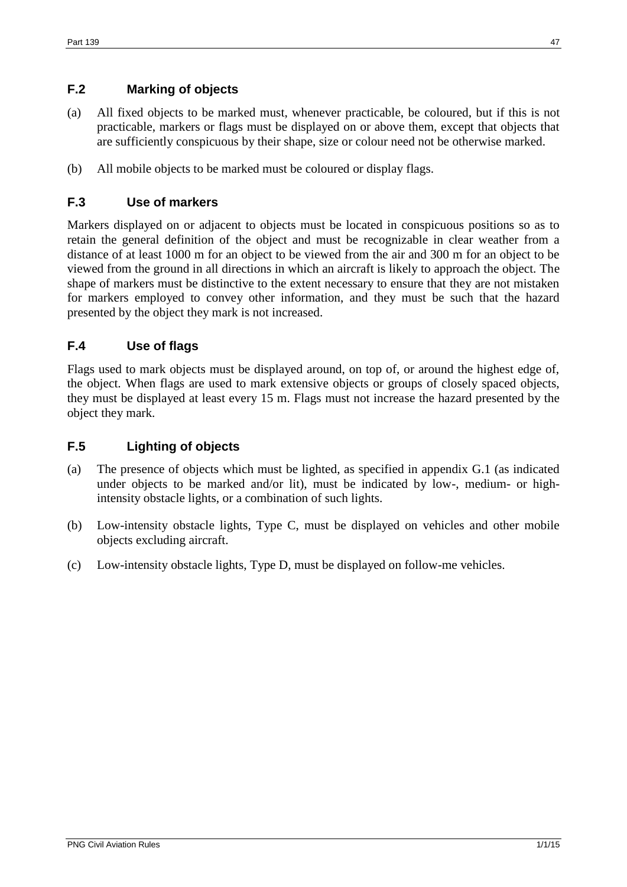# <span id="page-46-0"></span>**F.2 Marking of objects**

- (a) All fixed objects to be marked must, whenever practicable, be coloured, but if this is not practicable, markers or flags must be displayed on or above them, except that objects that are sufficiently conspicuous by their shape, size or colour need not be otherwise marked.
- (b) All mobile objects to be marked must be coloured or display flags.

## <span id="page-46-1"></span>**F.3 Use of markers**

Markers displayed on or adjacent to objects must be located in conspicuous positions so as to retain the general definition of the object and must be recognizable in clear weather from a distance of at least 1000 m for an object to be viewed from the air and 300 m for an object to be viewed from the ground in all directions in which an aircraft is likely to approach the object. The shape of markers must be distinctive to the extent necessary to ensure that they are not mistaken for markers employed to convey other information, and they must be such that the hazard presented by the object they mark is not increased.

# <span id="page-46-2"></span>**F.4 Use of flags**

Flags used to mark objects must be displayed around, on top of, or around the highest edge of, the object. When flags are used to mark extensive objects or groups of closely spaced objects, they must be displayed at least every 15 m. Flags must not increase the hazard presented by the object they mark.

### <span id="page-46-3"></span>**F.5 Lighting of objects**

- (a) The presence of objects which must be lighted, as specified in appendix G.1 (as indicated under objects to be marked and/or lit), must be indicated by low-, medium- or highintensity obstacle lights, or a combination of such lights.
- (b) Low-intensity obstacle lights, Type C, must be displayed on vehicles and other mobile objects excluding aircraft.
- (c) Low-intensity obstacle lights, Type D, must be displayed on follow-me vehicles.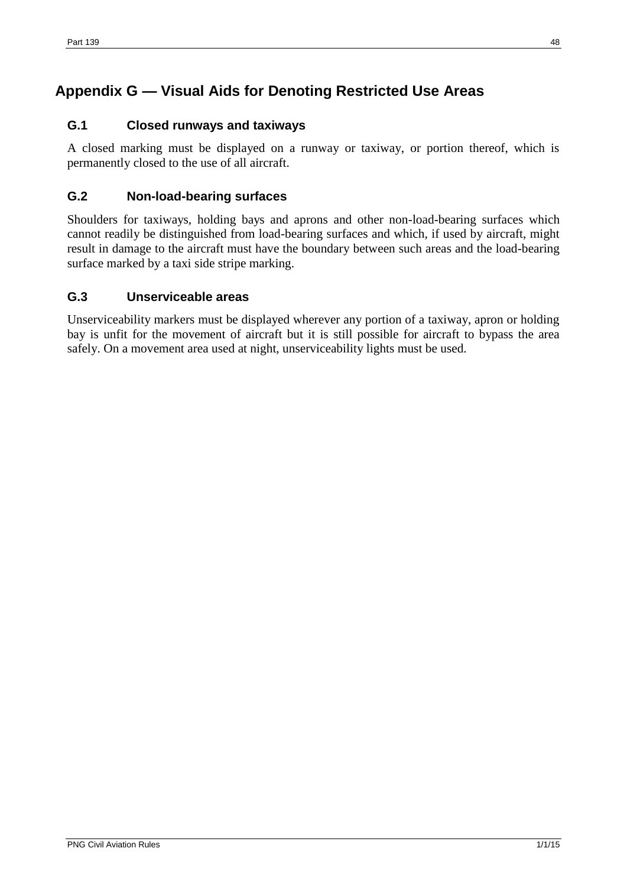# <span id="page-47-0"></span>**Appendix G — Visual Aids for Denoting Restricted Use Areas**

# <span id="page-47-1"></span>**G.1 Closed runways and taxiways**

A closed marking must be displayed on a runway or taxiway, or portion thereof, which is permanently closed to the use of all aircraft.

# <span id="page-47-2"></span>**G.2 Non-load-bearing surfaces**

Shoulders for taxiways, holding bays and aprons and other non-load-bearing surfaces which cannot readily be distinguished from load-bearing surfaces and which, if used by aircraft, might result in damage to the aircraft must have the boundary between such areas and the load-bearing surface marked by a taxi side stripe marking.

# <span id="page-47-3"></span>**G.3 Unserviceable areas**

Unserviceability markers must be displayed wherever any portion of a taxiway, apron or holding bay is unfit for the movement of aircraft but it is still possible for aircraft to bypass the area safely. On a movement area used at night, unserviceability lights must be used.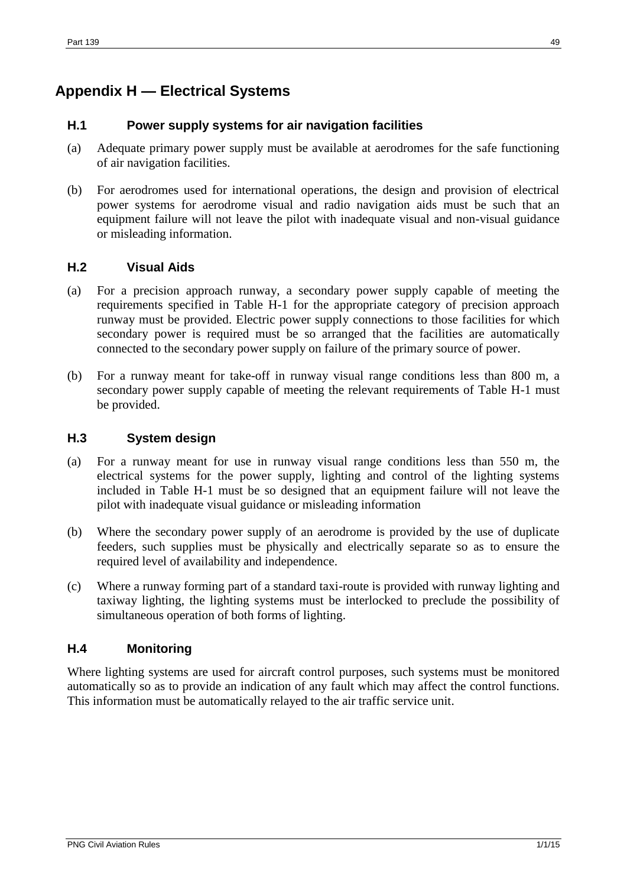# <span id="page-48-0"></span>**Appendix H — Electrical Systems**

### <span id="page-48-1"></span>**H.1 Power supply systems for air navigation facilities**

- (a) Adequate primary power supply must be available at aerodromes for the safe functioning of air navigation facilities.
- (b) For aerodromes used for international operations, the design and provision of electrical power systems for aerodrome visual and radio navigation aids must be such that an equipment failure will not leave the pilot with inadequate visual and non-visual guidance or misleading information.

### <span id="page-48-2"></span>**H.2 Visual Aids**

- (a) For a precision approach runway, a secondary power supply capable of meeting the requirements specified in Table H-1 for the appropriate category of precision approach runway must be provided. Electric power supply connections to those facilities for which secondary power is required must be so arranged that the facilities are automatically connected to the secondary power supply on failure of the primary source of power.
- (b) For a runway meant for take-off in runway visual range conditions less than 800 m, a secondary power supply capable of meeting the relevant requirements of Table H-1 must be provided.

### <span id="page-48-3"></span>**H.3 System design**

- (a) For a runway meant for use in runway visual range conditions less than 550 m, the electrical systems for the power supply, lighting and control of the lighting systems included in Table H-1 must be so designed that an equipment failure will not leave the pilot with inadequate visual guidance or misleading information
- (b) Where the secondary power supply of an aerodrome is provided by the use of duplicate feeders, such supplies must be physically and electrically separate so as to ensure the required level of availability and independence.
- (c) Where a runway forming part of a standard taxi-route is provided with runway lighting and taxiway lighting, the lighting systems must be interlocked to preclude the possibility of simultaneous operation of both forms of lighting.

### <span id="page-48-4"></span>**H.4 Monitoring**

Where lighting systems are used for aircraft control purposes, such systems must be monitored automatically so as to provide an indication of any fault which may affect the control functions. This information must be automatically relayed to the air traffic service unit.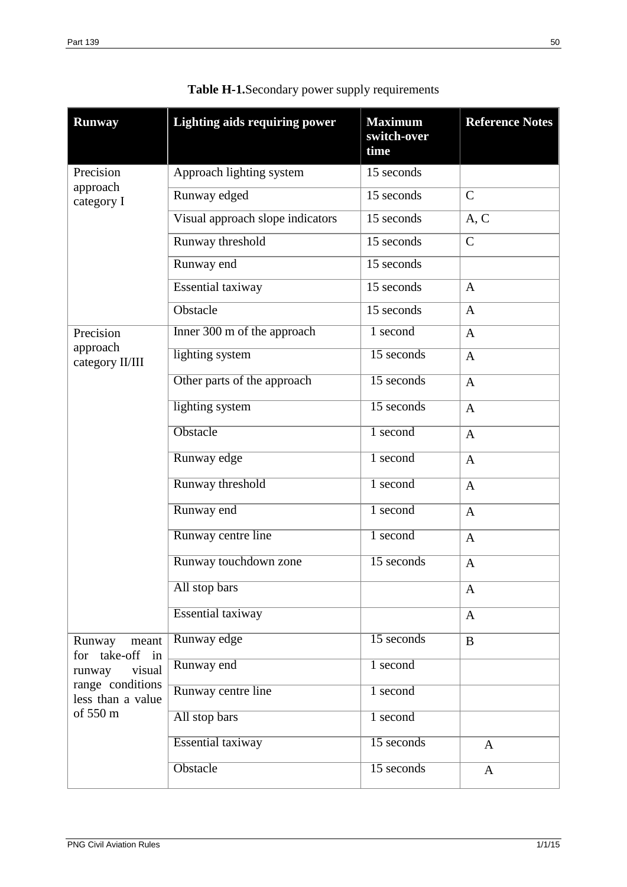| <b>Runway</b>                                                                                               | <b>Lighting aids requiring power</b> | <b>Maximum</b><br>switch-over<br>time | <b>Reference Notes</b> |
|-------------------------------------------------------------------------------------------------------------|--------------------------------------|---------------------------------------|------------------------|
| Precision<br>approach<br>category I                                                                         | Approach lighting system             | 15 seconds                            |                        |
|                                                                                                             | Runway edged                         | 15 seconds                            | $\mathsf{C}$           |
|                                                                                                             | Visual approach slope indicators     | 15 seconds                            | A, C                   |
|                                                                                                             | Runway threshold                     | 15 seconds                            | $\mathcal{C}$          |
|                                                                                                             | Runway end                           | 15 seconds                            |                        |
|                                                                                                             | Essential taxiway                    | 15 seconds                            | $\mathbf{A}$           |
|                                                                                                             | Obstacle                             | 15 seconds                            | $\overline{A}$         |
| Precision<br>approach<br>category II/III                                                                    | Inner 300 m of the approach          | $\overline{1}$ second                 | $\mathbf{A}$           |
|                                                                                                             | lighting system                      | $15$ seconds                          | $\mathbf{A}$           |
|                                                                                                             | Other parts of the approach          | $15$ seconds                          | $\mathbf{A}$           |
|                                                                                                             | lighting system                      | $15$ seconds                          | $\mathbf{A}$           |
|                                                                                                             | Obstacle                             | 1 second                              | $\mathbf{A}$           |
|                                                                                                             | Runway edge                          | 1 second                              | $\mathbf{A}$           |
|                                                                                                             | Runway threshold                     | 1 second                              | $\overline{A}$         |
|                                                                                                             | Runway end                           | 1 second                              | $\overline{A}$         |
|                                                                                                             | Runway centre line                   | 1 second                              | $\overline{A}$         |
|                                                                                                             | Runway touchdown zone                | $15$ seconds                          | $\mathbf{A}$           |
|                                                                                                             | All stop bars                        |                                       | A                      |
|                                                                                                             | <b>Essential taxiway</b>             |                                       | $\mathbf{A}$           |
| Runway<br>meant<br>for take-off in<br>visual<br>runway<br>range conditions<br>less than a value<br>of 550 m | Runway edge                          | 15 seconds                            | $\bf{B}$               |
|                                                                                                             | Runway end                           | $1$ second                            |                        |
|                                                                                                             | Runway centre line                   | 1 second                              |                        |
|                                                                                                             | All stop bars                        | 1 second                              |                        |
|                                                                                                             | <b>Essential taxiway</b>             | $15$ seconds                          | $\mathbf{A}$           |
|                                                                                                             | Obstacle                             | $15$ seconds                          | $\mathbf{A}$           |

**Table H-1.**Secondary power supply requirements